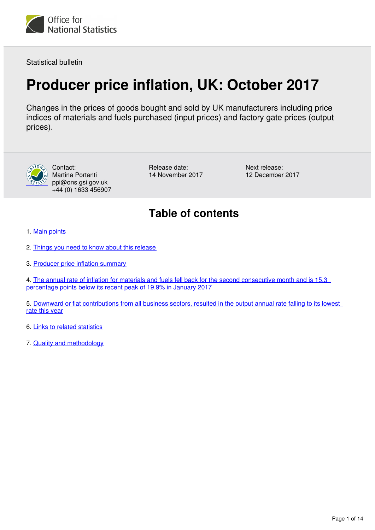

Statistical bulletin

## **Producer price inflation, UK: October 2017**

Changes in the prices of goods bought and sold by UK manufacturers including price indices of materials and fuels purchased (input prices) and factory gate prices (output prices).



Contact: Martina Portanti ppi@ons.gsi.gov.uk +44 (0) 1633 456907 Release date: 14 November 2017 Next release: 12 December 2017

## **Table of contents**

- 1. [Main points](#page-1-0)
- 2. [Things you need to know about this release](#page-1-1)
- 3. [Producer price inflation summary](#page-2-0)

4. The annual rate of inflation for materials and fuels fell back for the second consecutive month and is 15.3 [percentage points below its recent peak of 19.9% in January 2017](#page-3-0)

5. Downward or flat contributions from all business sectors, resulted in the output annual rate falling to its lowest [rate this year](#page-8-0)

6. [Links to related statistics](#page-12-0)

7. [Quality and methodology](#page-13-0)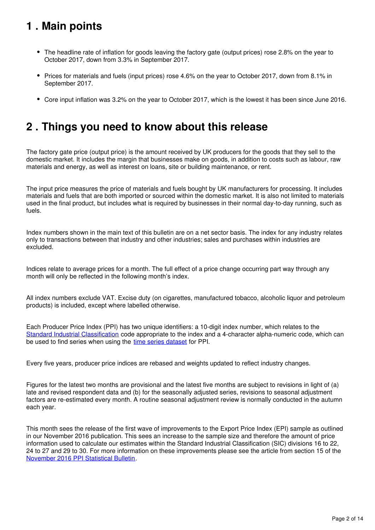## <span id="page-1-0"></span>**1 . Main points**

- The headline rate of inflation for goods leaving the factory gate (output prices) rose 2.8% on the year to October 2017, down from 3.3% in September 2017.
- Prices for materials and fuels (input prices) rose 4.6% on the year to October 2017, down from 8.1% in September 2017.
- Core input inflation was 3.2% on the year to October 2017, which is the lowest it has been since June 2016.

## <span id="page-1-1"></span>**2 . Things you need to know about this release**

The factory gate price (output price) is the amount received by UK producers for the goods that they sell to the domestic market. It includes the margin that businesses make on goods, in addition to costs such as labour, raw materials and energy, as well as interest on loans, site or building maintenance, or rent.

The input price measures the price of materials and fuels bought by UK manufacturers for processing. It includes materials and fuels that are both imported or sourced within the domestic market. It is also not limited to materials used in the final product, but includes what is required by businesses in their normal day-to-day running, such as fuels.

Index numbers shown in the main text of this bulletin are on a net sector basis. The index for any industry relates only to transactions between that industry and other industries; sales and purchases within industries are excluded.

Indices relate to average prices for a month. The full effect of a price change occurring part way through any month will only be reflected in the following month's index.

All index numbers exclude VAT. Excise duty (on cigarettes, manufactured tobacco, alcoholic liquor and petroleum products) is included, except where labelled otherwise.

Each Producer Price Index (PPI) has two unique identifiers: a 10-digit index number, which relates to the [Standard Industrial Classification](http://www.ons.gov.uk/methodology/classificationsandstandards/ukstandardindustrialclassificationofeconomicactivities/uksic2007) code appropriate to the index and a 4-character alpha-numeric code, which can be used to find series when using the time series dataset for PPI.

Every five years, producer price indices are rebased and weights updated to reflect industry changes.

Figures for the latest two months are provisional and the latest five months are subject to revisions in light of (a) late and revised respondent data and (b) for the seasonally adjusted series, revisions to seasonal adjustment factors are re-estimated every month. A routine seasonal adjustment review is normally conducted in the autumn each year.

This month sees the release of the first wave of improvements to the Export Price Index (EPI) sample as outlined in our November 2016 publication. This sees an increase to the sample size and therefore the amount of price information used to calculate our estimates within the Standard Industrial Classification (SIC) divisions 16 to 22, 24 to 27 and 29 to 30. For more information on these improvements please see the article from section 15 of the [November 2016 PPI Statistical Bulletin](https://www.ons.gov.uk/economy/inflationandpriceindices/bulletins/producerpriceinflation/nov2016#planned-changes-to-methods-for-producer-prices-index-and-services-producer-prices-index).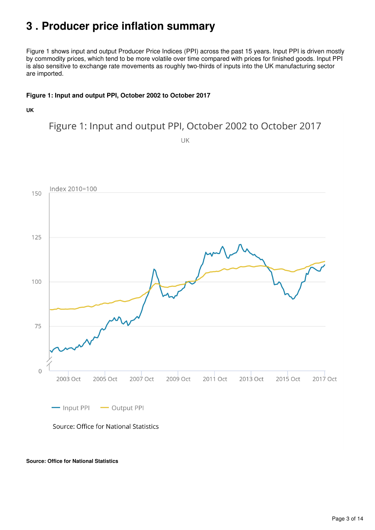## <span id="page-2-0"></span>**3 . Producer price inflation summary**

Figure 1 shows input and output Producer Price Indices (PPI) across the past 15 years. Input PPI is driven mostly by commodity prices, which tend to be more volatile over time compared with prices for finished goods. Input PPI is also sensitive to exchange rate movements as roughly two-thirds of inputs into the UK manufacturing sector are imported.

#### **Figure 1: Input and output PPI, October 2002 to October 2017**

**UK**

Figure 1: Input and output PPI, October 2002 to October 2017

UK



**Source: Office for National Statistics**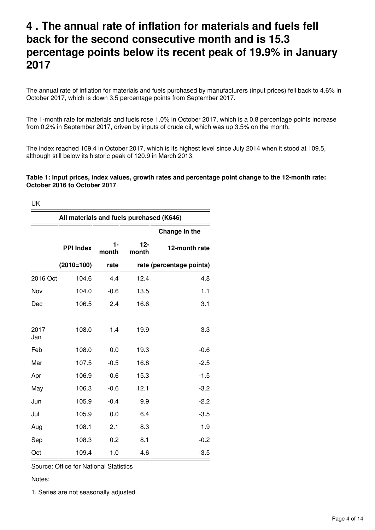## <span id="page-3-0"></span>**4 . The annual rate of inflation for materials and fuels fell back for the second consecutive month and is 15.3 percentage points below its recent peak of 19.9% in January 2017**

The annual rate of inflation for materials and fuels purchased by manufacturers (input prices) fell back to 4.6% in October 2017, which is down 3.5 percentage points from September 2017.

The 1-month rate for materials and fuels rose 1.0% in October 2017, which is a 0.8 percentage points increase from 0.2% in September 2017, driven by inputs of crude oil, which was up 3.5% on the month.

The index reached 109.4 in October 2017, which is its highest level since July 2014 when it stood at 109.5, although still below its historic peak of 120.9 in March 2013.

#### **Table 1: Input prices, index values, growth rates and percentage point change to the 12-month rate: October 2016 to October 2017**

UK

|             | All materials and fuels purchased (K646) |             |                |                          |
|-------------|------------------------------------------|-------------|----------------|--------------------------|
|             |                                          |             |                | Change in the            |
|             | <b>PPI Index</b>                         | 1-<br>month | $12-$<br>month | 12-month rate            |
|             | $(2010=100)$                             | rate        |                | rate (percentage points) |
| 2016 Oct    | 104.6                                    | 4.4         | 12.4           | 4.8                      |
| Nov         | 104.0                                    | $-0.6$      | 13.5           | 1.1                      |
| Dec         | 106.5                                    | 2.4         | 16.6           | 3.1                      |
|             |                                          |             |                |                          |
| 2017<br>Jan | 108.0                                    | 1.4         | 19.9           | 3.3                      |
| Feb         | 108.0                                    | 0.0         | 19.3           | $-0.6$                   |
| Mar         | 107.5                                    | $-0.5$      | 16.8           | $-2.5$                   |
| Apr         | 106.9                                    | $-0.6$      | 15.3           | $-1.5$                   |
| May         | 106.3                                    | $-0.6$      | 12.1           | $-3.2$                   |
| Jun         | 105.9                                    | $-0.4$      | 9.9            | $-2.2$                   |
| Jul         | 105.9                                    | 0.0         | 6.4            | $-3.5$                   |
| Aug         | 108.1                                    | 2.1         | 8.3            | 1.9                      |
| Sep         | 108.3                                    | 0.2         | 8.1            | $-0.2$                   |
| Oct         | 109.4                                    | 1.0         | 4.6            | $-3.5$                   |

Source: Office for National Statistics

Notes:

1. Series are not seasonally adjusted.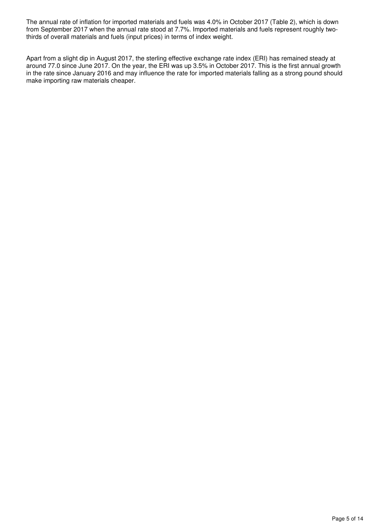The annual rate of inflation for imported materials and fuels was 4.0% in October 2017 (Table 2), which is down from September 2017 when the annual rate stood at 7.7%. Imported materials and fuels represent roughly twothirds of overall materials and fuels (input prices) in terms of index weight.

Apart from a slight dip in August 2017, the sterling effective exchange rate index (ERI) has remained steady at around 77.0 since June 2017. On the year, the ERI was up 3.5% in October 2017. This is the first annual growth in the rate since January 2016 and may influence the rate for imported materials falling as a strong pound should make importing raw materials cheaper.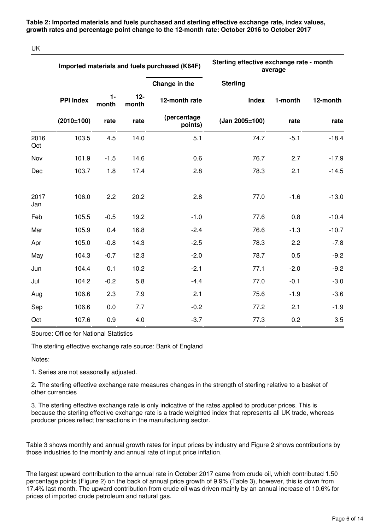**Table 2: Imported materials and fuels purchased and sterling effective exchange rate, index values, growth rates and percentage point change to the 12-month rate: October 2016 to October 2017**

UK

|             |                  |                |                | Imported materials and fuels purchased (K64F) | Sterling effective exchange rate - month<br>average |         |          |  |  |  |  |
|-------------|------------------|----------------|----------------|-----------------------------------------------|-----------------------------------------------------|---------|----------|--|--|--|--|
|             |                  |                |                | Change in the                                 | <b>Sterling</b>                                     |         |          |  |  |  |  |
|             | <b>PPI Index</b> | $1 -$<br>month | $12-$<br>month | 12-month rate                                 | <b>Index</b>                                        | 1-month | 12-month |  |  |  |  |
|             | $(2010=100)$     | rate           | rate           | (percentage<br>points)                        | (Jan 2005=100)                                      | rate    | rate     |  |  |  |  |
| 2016<br>Oct | 103.5            | 4.5            | 14.0           | 5.1                                           | 74.7                                                | $-5.1$  | $-18.4$  |  |  |  |  |
| Nov         | 101.9            | $-1.5$         | 14.6           | 0.6                                           | 76.7                                                | 2.7     | $-17.9$  |  |  |  |  |
| Dec         | 103.7            | 1.8            | 17.4           | 2.8                                           | 78.3                                                | 2.1     | $-14.5$  |  |  |  |  |
| 2017<br>Jan | 106.0            | 2.2            | 20.2           | 2.8                                           | 77.0                                                | $-1.6$  | $-13.0$  |  |  |  |  |
| Feb         | 105.5            | $-0.5$         | 19.2           | $-1.0$                                        | 77.6                                                | 0.8     | $-10.4$  |  |  |  |  |
| Mar         | 105.9            | 0.4            | 16.8           | $-2.4$                                        | 76.6                                                | $-1.3$  | $-10.7$  |  |  |  |  |
| Apr         | 105.0            | $-0.8$         | 14.3           | $-2.5$                                        | 78.3                                                | 2.2     | $-7.8$   |  |  |  |  |
| May         | 104.3            | $-0.7$         | 12.3           | $-2.0$                                        | 78.7                                                | 0.5     | $-9.2$   |  |  |  |  |
| Jun         | 104.4            | 0.1            | 10.2           | $-2.1$                                        | 77.1                                                | $-2.0$  | $-9.2$   |  |  |  |  |
| Jul         | 104.2            | $-0.2$         | 5.8            | $-4.4$                                        | 77.0                                                | $-0.1$  | $-3.0$   |  |  |  |  |
| Aug         | 106.6            | 2.3            | 7.9            | 2.1                                           | 75.6                                                | $-1.9$  | $-3.6$   |  |  |  |  |
| Sep         | 106.6            | 0.0            | 7.7            | $-0.2$                                        | 77.2                                                | 2.1     | $-1.9$   |  |  |  |  |
| Oct         | 107.6            | 0.9            | 4.0            | $-3.7$                                        | 77.3                                                | 0.2     | 3.5      |  |  |  |  |

Source: Office for National Statistics

The sterling effective exchange rate source: Bank of England

Notes:

1. Series are not seasonally adjusted.

2. The sterling effective exchange rate measures changes in the strength of sterling relative to a basket of other currencies

3. The sterling effective exchange rate is only indicative of the rates applied to producer prices. This is because the sterling effective exchange rate is a trade weighted index that represents all UK trade, whereas producer prices reflect transactions in the manufacturing sector.

Table 3 shows monthly and annual growth rates for input prices by industry and Figure 2 shows contributions by those industries to the monthly and annual rate of input price inflation.

The largest upward contribution to the annual rate in October 2017 came from crude oil, which contributed 1.50 percentage points (Figure 2) on the back of annual price growth of 9.9% (Table 3), however, this is down from 17.4% last month. The upward contribution from crude oil was driven mainly by an annual increase of 10.6% for prices of imported crude petroleum and natural gas.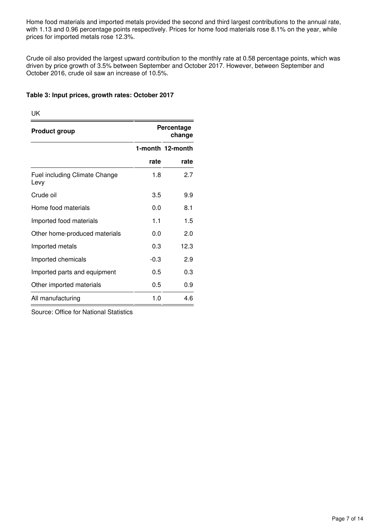Home food materials and imported metals provided the second and third largest contributions to the annual rate, with 1.13 and 0.96 percentage points respectively. Prices for home food materials rose 8.1% on the year, while prices for imported metals rose 12.3%.

Crude oil also provided the largest upward contribution to the monthly rate at 0.58 percentage points, which was driven by price growth of 3.5% between September and October 2017. However, between September and October 2016, crude oil saw an increase of 10.5%.

#### **Table 3: Input prices, growth rates: October 2017**

UK

| <b>Product group</b>                         |        | Percentage<br>change |
|----------------------------------------------|--------|----------------------|
|                                              |        | 1-month 12-month     |
|                                              | rate   | rate                 |
| <b>Fuel including Climate Change</b><br>Levy | 1.8    | 2.7                  |
| Crude oil                                    | 3.5    | 9.9                  |
| Home food materials                          | 0.0    | 8.1                  |
| Imported food materials                      | 1.1    | 1.5                  |
| Other home-produced materials                | 0.0    | 2.0                  |
| Imported metals                              | 0.3    | 12.3                 |
| Imported chemicals                           | $-0.3$ | 2.9                  |
| Imported parts and equipment                 | 0.5    | 0.3                  |
| Other imported materials                     | 0.5    | 0.9                  |
| All manufacturing                            | 1.0    | 4.6                  |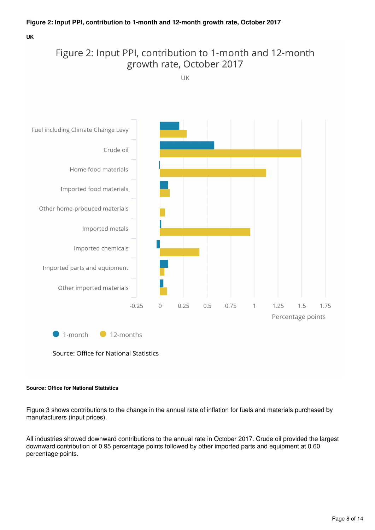**UK**

## Figure 2: Input PPI, contribution to 1-month and 12-month growth rate, October 2017

UK



Source: Office for National Statistics

#### **Source: Office for National Statistics**

Figure 3 shows contributions to the change in the annual rate of inflation for fuels and materials purchased by manufacturers (input prices).

All industries showed downward contributions to the annual rate in October 2017. Crude oil provided the largest downward contribution of 0.95 percentage points followed by other imported parts and equipment at 0.60 percentage points.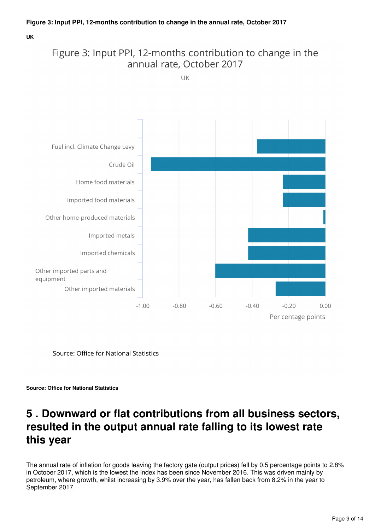**UK**

## Figure 3: Input PPI, 12-months contribution to change in the annual rate, October 2017

UK



Source: Office for National Statistics



## <span id="page-8-0"></span>**5 . Downward or flat contributions from all business sectors, resulted in the output annual rate falling to its lowest rate this year**

The annual rate of inflation for goods leaving the factory gate (output prices) fell by 0.5 percentage points to 2.8% in October 2017, which is the lowest the index has been since November 2016. This was driven mainly by petroleum, where growth, whilst increasing by 3.9% over the year, has fallen back from 8.2% in the year to September 2017.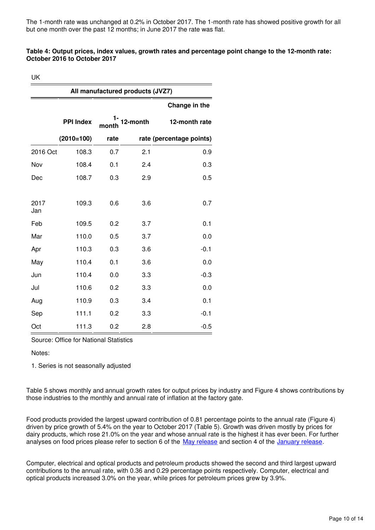The 1-month rate was unchanged at 0.2% in October 2017. The 1-month rate has showed positive growth for all but one month over the past 12 months; in June 2017 the rate was flat.

#### **Table 4: Output prices, index values, growth rates and percentage point change to the 12-month rate: October 2016 to October 2017**

UK

|             |                  |       | All manufactured products (JVZ7) |                          |
|-------------|------------------|-------|----------------------------------|--------------------------|
|             |                  |       |                                  | Change in the            |
|             | <b>PPI Index</b> | montn | 12-month                         | 12-month rate            |
|             | $(2010=100)$     | rate  |                                  | rate (percentage points) |
| 2016 Oct    | 108.3            | 0.7   | 2.1                              | 0.9                      |
| Nov         | 108.4            | 0.1   | 2.4                              | 0.3                      |
| Dec         | 108.7            | 0.3   | 2.9                              | 0.5                      |
| 2017<br>Jan | 109.3            | 0.6   | 3.6                              | 0.7                      |
| Feb         | 109.5            | 0.2   | 3.7                              | 0.1                      |
| Mar         | 110.0            | 0.5   | 3.7                              | 0.0                      |
| Apr         | 110.3            | 0.3   | 3.6                              | $-0.1$                   |
| May         | 110.4            | 0.1   | 3.6                              | 0.0                      |
| Jun         | 110.4            | 0.0   | 3.3                              | $-0.3$                   |
| Jul         | 110.6            | 0.2   | 3.3                              | 0.0                      |
| Aug         | 110.9            | 0.3   | 3.4                              | 0.1                      |
| Sep         | 111.1            | 0.2   | 3.3                              | $-0.1$                   |
| Oct         | 111.3            | 0.2   | 2.8                              | $-0.5$                   |

Source: Office for National Statistics

Notes:

1. Series is not seasonally adjusted

Table 5 shows monthly and annual growth rates for output prices by industry and Figure 4 shows contributions by those industries to the monthly and annual rate of inflation at the factory gate.

Food products provided the largest upward contribution of 0.81 percentage points to the annual rate (Figure 4) driven by price growth of 5.4% on the year to October 2017 (Table 5). Growth was driven mostly by prices for dairy products, which rose 21.0% on the year and whose annual rate is the highest it has ever been. For further analyses on food prices please refer to section 6 of the May release and section 4 of the January release[.](https://www.ons.gov.uk/economy/inflationandpriceindices/bulletins/producerpriceinflation/jan2017)

Computer, electrical and optical products and petroleum products showed the second and third largest upward contributions to the annual rate, with 0.36 and 0.29 percentage points respectively. Computer, electrical and optical products increased 3.0% on the year, while prices for petroleum prices grew by 3.9%.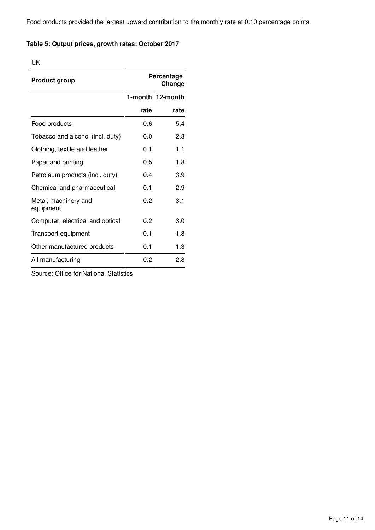Food products provided the largest upward contribution to the monthly rate at 0.10 percentage points.

#### **Table 5: Output prices, growth rates: October 2017**

UK

| <b>Product group</b>              |        | Percentage<br>Change |
|-----------------------------------|--------|----------------------|
|                                   |        | 1-month 12-month     |
|                                   | rate   | rate                 |
| Food products                     | 0.6    | 5.4                  |
| Tobacco and alcohol (incl. duty)  | 0.0    | 2.3                  |
| Clothing, textile and leather     | 0.1    | 1.1                  |
| Paper and printing                | 0.5    | 1.8                  |
| Petroleum products (incl. duty)   | 0.4    | 3.9                  |
| Chemical and pharmaceutical       | 0.1    | 2.9                  |
| Metal, machinery and<br>equipment | 0.2    | 3.1                  |
| Computer, electrical and optical  | 0.2    | 3.0                  |
| Transport equipment               | $-0.1$ | 1.8                  |
| Other manufactured products       | $-0.1$ | 1.3                  |
| All manufacturing                 | 0.2    | 2.8                  |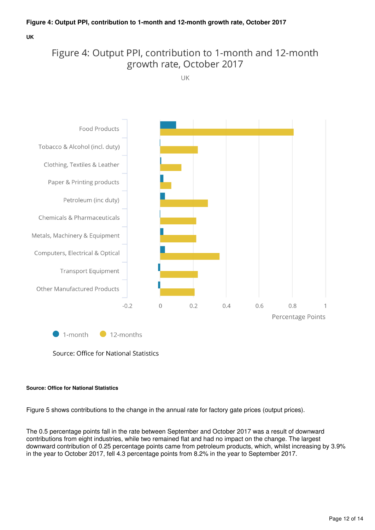**UK**

## Figure 4: Output PPI, contribution to 1-month and 12-month growth rate, October 2017

UK



Source: Office for National Statistics

#### **Source: Office for National Statistics**

Figure 5 shows contributions to the change in the annual rate for factory gate prices (output prices).

The 0.5 percentage points fall in the rate between September and October 2017 was a result of downward contributions from eight industries, while two remained flat and had no impact on the change. The largest downward contribution of 0.25 percentage points came from petroleum products, which, whilst increasing by 3.9% in the year to October 2017, fell 4.3 percentage points from 8.2% in the year to September 2017.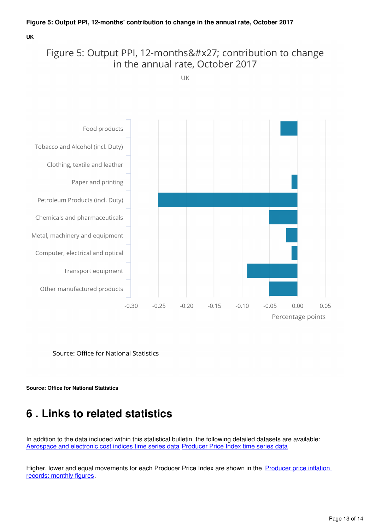#### **UK**

## Figure 5: Output PPI, 12-months' contribution to change in the annual rate, October 2017

UK



Source: Office for National Statistics

**Source: Office for National Statistics**

## <span id="page-12-0"></span>**6 . Links to related statistics**

In addition to the data included within this statistical bulletin, the following detailed datasets are available: [Aerospace and electronic cost indices time series data](https://www.ons.gov.uk/economy/inflationandpriceindices/datasets/aerospaceandelectronicscostindices) [Producer Price Index time series data](https://www.ons.gov.uk/economy/inflationandpriceindices/datasets/producerpriceindex)

Higher, lower and equal movements for each Producer Price Index are shown in the Producer price inflation [records: monthly figures.](https://www.ons.gov.uk/economy/inflationandpriceindices/datasets/producerpriceindicesrecords)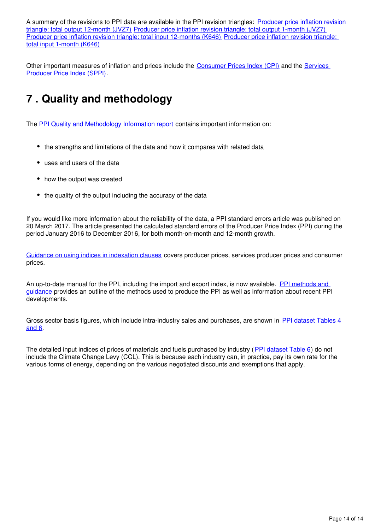A summary of the revisions to PPI data are available in the PPI revision triangles: Producer price inflation revision [triangle: total output 12-month \(JVZ7\)](https://www.ons.gov.uk/economy/inflationandpriceindices/datasets/producerpriceindexrevisiontriangletotaloutput12monthsjvz7) [Producer price inflation revision triangle: total output 1-month \(JVZ7\)](https://www.ons.gov.uk/economy/inflationandpriceindices/datasets/producerpriceindexrevisiontriangletotaloutput1monthjvz7) [Producer price inflation revision triangle: total input 12-months \(K646\)](https://www.ons.gov.uk/economy/inflationandpriceindices/datasets/producerpriceindexrevisiontriangletotalinput12months) [Producer price inflation revision triangle:](https://www.ons.gov.uk/economy/inflationandpriceindices/datasets/producerpriceindexrevisiontriangletotalinput1month)  [total input 1-month \(K646\)](https://www.ons.gov.uk/economy/inflationandpriceindices/datasets/producerpriceindexrevisiontriangletotalinput1month)

Other important measures of inflation and prices include the [Consumer Prices Index \(CPI\)](https://www.ons.gov.uk/economy/inflationandpriceindices/bulletins/consumerpriceinflation/previousReleases) and the Services [Producer Price Index \(SPPI\).](https://www.ons.gov.uk/economy/inflationandpriceindices/bulletins/servicesproducerpriceindices/previousReleases)

## <span id="page-13-0"></span>**7 . Quality and methodology**

The [PPI Quality and Methodology Information report](http://www.ons.gov.uk/economy/inflationandpriceindices/qmis/producerpriceindicesqmi) contains important information on:

- the strengths and limitations of the data and how it compares with related data
- uses and users of the data
- how the output was created
- the quality of the output including the accuracy of the data

If you would like more information about the reliability of the data, a PPI standard errors article was published on 20 March 2017. The article presented the calculated standard errors of the Producer Price Index (PPI) during the period January 2016 to December 2016, for both month-on-month and 12-month growth.

[Guidance on using indices in indexation clauses](http://webarchive.nationalarchives.gov.uk/20160106081426/http:/www.ons.gov.uk/ons/guide-method/user-guidance/prices/ppi/guidance-on-using-indices-in-indexation-clauses.pdf) covers producer prices, services producer prices and consumer prices.

An up-to-date manual for the PPI, including the import and export index, is now available. [PPI methods and](http://webarchive.nationalarchives.gov.uk/20160106081426/http:/www.ons.gov.uk/ons/guide-method/user-guidance/prices/ppi/producer-price-indices--methods-and-guidance----2014-edition.pdf)  [guidance](http://webarchive.nationalarchives.gov.uk/20160106081426/http:/www.ons.gov.uk/ons/guide-method/user-guidance/prices/ppi/producer-price-indices--methods-and-guidance----2014-edition.pdf) provides an outline of the methods used to produce the PPI as well as information about recent PPI developments.

Gross sector basis figures, which include intra-industry sales and purchases, are shown in [PPI dataset Tables 4](http://www.ons.gov.uk/economy/inflationandpriceindices/datasets/producerpriceindexreferencetables)  [and 6](http://www.ons.gov.uk/economy/inflationandpriceindices/datasets/producerpriceindexreferencetables).

The detailed input indices of prices of materials and fuels purchased by industry ([PPI dataset Table 6](http://www.ons.gov.uk/economy/inflationandpriceindices/datasets/producerpriceindexreferencetables)) do not include the Climate Change Levy (CCL). This is because each industry can, in practice, pay its own rate for the various forms of energy, depending on the various negotiated discounts and exemptions that apply.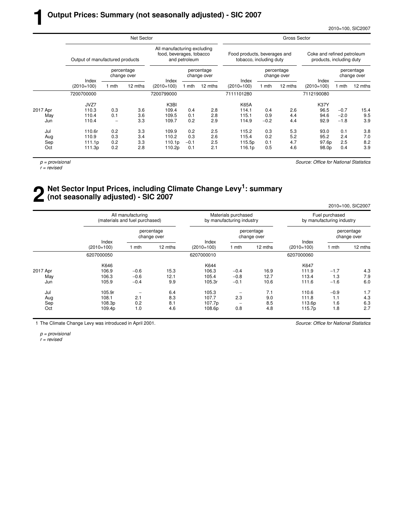|          |                                 |       | Net Sector                |                                                         |               |                           | Gross Sector                                            |        |                           |                                                        |        |                           |
|----------|---------------------------------|-------|---------------------------|---------------------------------------------------------|---------------|---------------------------|---------------------------------------------------------|--------|---------------------------|--------------------------------------------------------|--------|---------------------------|
|          | Output of manufactured products |       |                           | All manufacturing excluding<br>food, beverages, tobacco | and petroleum |                           | Food products, beverages and<br>tobacco, including duty |        |                           | Coke and refined petroleum<br>products, including duty |        |                           |
|          | Index                           |       | percentage<br>change over | Index                                                   |               | percentage<br>change over | Index                                                   |        | percentage<br>change over | Index                                                  |        | percentage<br>change over |
|          | $(2010=100)$                    | 1 mth | 12 mths                   | $(2010=100)$                                            | 1 mth         | 12 mths                   | $(2010=100)$                                            | 1 mth  | 12 mths                   | $(2010=100)$                                           | mth    | 12 mths                   |
|          | 7200700000                      |       |                           | 7200799000                                              |               |                           | 7111101280                                              |        |                           | 7112190080                                             |        |                           |
|          | JVZ7                            |       |                           | K3BI                                                    |               |                           | <b>K65A</b>                                             |        |                           | <b>K37Y</b>                                            |        |                           |
| 2017 Apr | 110.3                           | 0.3   | 3.6                       | 109.4                                                   | 0.4           | 2.8                       | 114.1                                                   | 0.4    | 2.6                       | 96.5                                                   | $-0.7$ | 15.4                      |
| May      | 110.4                           | 0.1   | 3.6                       | 109.5                                                   | 0.1           | 2.8                       | 115.1                                                   | 0.9    | 4.4                       | 94.6                                                   | $-2.0$ | 9.5                       |
| Jun      | 110.4                           | -     | 3.3                       | 109.7                                                   | 0.2           | 2.9                       | 114.9                                                   | $-0.2$ | 4.4                       | 92.9                                                   | $-1.8$ | 3.9                       |
| Jul      | 110.6r                          | 0.2   | 3.3                       | 109.9                                                   | 0.2           | 2.5                       | 115.2                                                   | 0.3    | 5.3                       | 93.0                                                   | 0.1    | 3.8                       |
| Aug      | 110.9                           | 0.3   | 3.4                       | 110.2                                                   | 0.3           | 2.6                       | 115.4                                                   | 0.2    | 5.2                       | 95.2                                                   | 2.4    | 7.0                       |
| Sep      | 111.1p                          | 0.2   | 3.3                       | 110.1 <sub>p</sub>                                      | $-0.1$        | 2.5                       | 115.5p                                                  | 0.1    | 4.7                       | 97.6p                                                  | 2.5    | 8.2                       |
| Oct      | 111.3p                          | 0.2   | 2.8                       | 110.2p                                                  | 0.1           | 2.1                       | 116.1p                                                  | 0.5    | 4.6                       | 98.0p                                                  | 0.4    | 3.9                       |

 $p =$  provisional

**1**

 $r =$  revised

Source: Office for National Statistics

## **2** Net Sector Input Prices, including Climate Change Levy<sup>1</sup>: summary (not seasonally adjusted) - SIC 2007 **(not seasonally adjusted) - SIC 2007**

2010=100, SIC2007

|          |                       | All manufacturing<br>(materials and fuel purchased) |                           |              | Materials purchased<br>by manufacturing industry |                           | Fuel purchased<br>by manufacturing industry |        |                           |  |
|----------|-----------------------|-----------------------------------------------------|---------------------------|--------------|--------------------------------------------------|---------------------------|---------------------------------------------|--------|---------------------------|--|
|          |                       |                                                     | percentage<br>change over | Index        |                                                  | percentage<br>change over |                                             |        | percentage<br>change over |  |
|          | Index<br>$(2010=100)$ | l mth                                               | 12 mths                   | $(2010=100)$ | 1 mth                                            | 12 mths                   | Index<br>$(2010=100)$                       | 1 mth  | 12 mths                   |  |
|          | 6207000050            |                                                     |                           | 6207000010   |                                                  |                           | 6207000060                                  |        |                           |  |
|          | K646                  |                                                     |                           | K644         |                                                  |                           | K647                                        |        |                           |  |
| 2017 Apr | 106.9                 | $-0.6$                                              | 15.3                      | 106.3        | $-0.4$                                           | 16.9                      | 111.9                                       | $-1.7$ | 4.3                       |  |
| May      | 106.3                 | $-0.6$                                              | 12.1                      | 105.4        | $-0.8$                                           | 12.7                      | 113.4                                       | 1.3    | 7.9                       |  |
| Jun      | 105.9                 | $-0.4$                                              | 9.9                       | 105.3r       | $-0.1$                                           | 10.6                      | 111.6                                       | $-1.6$ | 6.0                       |  |
| Jul      | 105.9r                |                                                     | 6.4                       | 105.3        |                                                  | 7.1                       | 110.6                                       | $-0.9$ | 1.7                       |  |
| Aug      | 108.1                 | 2.1                                                 | 8.3                       | 107.7        | 2.3                                              | 9.0                       | 111.8                                       | 1.1    | 4.3                       |  |
| Sep      | 108.3p                | 0.2                                                 | 8.1                       | 107.7p       | $\overline{\phantom{a}}$                         | 8.5                       | 113.6p                                      | 1.6    | 6.3                       |  |
| Oct      | 109.4p                | 1.0                                                 | 4.6                       | 108.6p       | 0.8                                              | 4.8                       | 115.7p                                      | 1.8    | 2.7                       |  |

1 The Climate Change Levy was introduced in April 2001.

Source: Office for National Statistics

p = provisional r = revised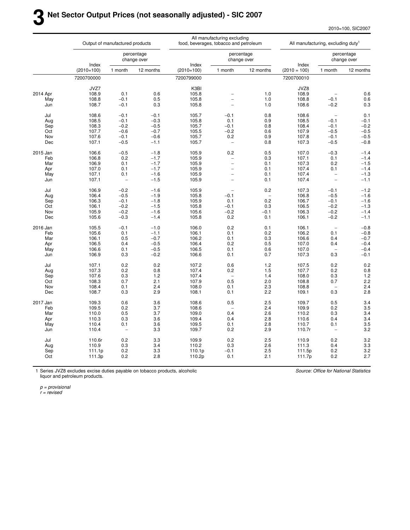2010=100, SIC2007

|            |              | Output of manufactured products |                           |                | All manufacturing excluding<br>food, beverages, tobacco and petroleum |            |                 | All manufacturing, excluding duty <sup>1</sup> |                           |
|------------|--------------|---------------------------------|---------------------------|----------------|-----------------------------------------------------------------------|------------|-----------------|------------------------------------------------|---------------------------|
|            | Index        |                                 | percentage<br>change over | Index          | percentage<br>change over                                             |            | Index           |                                                | percentage<br>change over |
|            | $(2010=100)$ | 1 month                         | 12 months                 | $(2010=100)$   | 1 month                                                               | 12 months  | $(2010 = 100)$  | 1 month                                        | 12 months                 |
|            | 7200700000   |                                 |                           | 7200799000     |                                                                       |            | 7200700010      |                                                |                           |
|            | JVZ7         |                                 |                           | K3BI           |                                                                       |            | JVZ8            |                                                |                           |
| 2014 Apr   | 108.9        | 0.1                             | 0.6                       | 105.8          | ۳                                                                     | 1.0        | 108.9           |                                                | 0.6                       |
| May        | 108.8        | $-0.1$                          | 0.5                       | 105.8          | $\overline{\phantom{a}}$                                              | 1.0        | 108.8           | $-0.1$                                         | 0.6                       |
| Jun        | 108.7        | $-0.1$                          | 0.3                       | 105.8          | $\overline{\phantom{0}}$                                              | 1.0        | 108.6           | $-0.2$                                         | 0.3                       |
| Jul        | 108.6        | $-0.1$                          | $-0.1$                    | 105.7          | $-0.1$                                                                | 0.8        | 108.6           | $\overline{\phantom{a}}$                       | 0.1                       |
| Aug        | 108.5        | $-0.1$                          | $-0.3$                    | 105.8          | 0.1                                                                   | 0.9        | 108.5           | $-0.1$                                         | $-0.1$                    |
| Sep        | 108.3        | $-0.2$                          | $-0.5$                    | 105.7          | $-0.1$                                                                | 0.8        | 108.4           | $-0.1$                                         | $-0.2$                    |
|            |              |                                 |                           |                |                                                                       |            | 107.9           |                                                |                           |
| Oct        | 107.7        | $-0.6$                          | $-0.7$                    | 105.5          | $-0.2$                                                                | 0.6        |                 | $-0.5$                                         | $-0.5$                    |
| Nov        | 107.6        | $-0.1$                          | $-0.6$                    | 105.7          | 0.2                                                                   | 0.9        | 107.8           | $-0.1$                                         | $-0.5$                    |
| Dec        | 107.1        | $-0.5$                          | $-1.1$                    | 105.7          | $\overline{\phantom{0}}$                                              | 0.8        | 107.3           | $-0.5$                                         | $-0.8$                    |
| 2015 Jan   | 106.6        | $-0.5$                          | $-1.8$                    | 105.9          | 0.2                                                                   | 0.5        | 107.0           | $-0.3$                                         | $-1.4$                    |
| Feb        | 106.8        | 0.2                             | $-1.7$                    | 105.9          | $\overline{\phantom{0}}$                                              | 0.3        | 107.1           | 0.1                                            | $-1.4$                    |
| Mar        | 106.9        | 0.1                             | $-1.7$                    | 105.9          | $\overline{a}$                                                        | 0.1        | 107.3           | 0.2                                            | $-1.5$                    |
| Apr        | 107.0        | 0.1                             | $-1.7$                    | 105.9          | $\overline{\phantom{0}}$                                              | 0.1        | 107.4           | 0.1                                            | $-1.4$                    |
| May        | 107.1        | 0.1                             | $-1.6$                    | 105.9          | $\overline{\phantom{0}}$                                              | 0.1        | 107.4           | $\overline{\phantom{0}}$                       | $-1.3$                    |
| Jun        | 107.1        | $\overline{\phantom{0}}$        | $-1.5$                    | 105.9          | $\overline{a}$                                                        | 0.1        | 107.4           | $\overline{\phantom{0}}$                       | $-1.1$                    |
| Jul        | 106.9        | $-0.2$                          | $-1.6$                    | 105.9          | $\overline{\phantom{a}}$                                              | 0.2        | 107.3           | $-0.1$                                         | $-1.2$                    |
| Aug        | 106.4        | $-0.5$                          | $-1.9$                    | 105.8          | $-0.1$                                                                |            | 106.8           | $-0.5$                                         | $-1.6$                    |
| Sep        | 106.3        | $-0.1$                          | $-1.8$                    | 105.9          | 0.1                                                                   | 0.2        | 106.7           | $-0.1$                                         | $-1.6$                    |
| Oct        | 106.1        | $-0.2$                          | $-1.5$                    | 105.8          | $-0.1$                                                                | 0.3        | 106.5           | $-0.2$                                         | $-1.3$                    |
| Nov        | 105.9        | $-0.2$                          | $-1.6$                    | 105.6          | $-0.2$                                                                | $-0.1$     | 106.3           | $-0.2$                                         | $-1.4$                    |
| Dec        | 105.6        | $-0.3$                          | $-1.4$                    | 105.8          | 0.2                                                                   | 0.1        | 106.1           | $-0.2$                                         | $-1.1$                    |
|            |              |                                 |                           |                |                                                                       |            |                 |                                                |                           |
| 2016 Jan   | 105.5        | $-0.1$                          | $-1.0$                    | 106.0          | 0.2                                                                   | 0.1        | 106.1           | $\qquad \qquad -$                              | $-0.8$                    |
| Feb        | 105.6        | 0.1                             | $-1.1$                    | 106.1          | 0.1                                                                   | 0.2        | 106.2           | 0.1                                            | $-0.8$                    |
| Mar        | 106.1        | 0.5                             | $-0.7$                    | 106.2          | 0.1                                                                   | 0.3        | 106.6           | 0.4                                            | $-0.7$                    |
| Apr        | 106.5        | 0.4                             | $-0.5$                    | 106.4          | 0.2                                                                   | 0.5        | 107.0           | 0.4                                            | $-0.4$                    |
| May        | 106.6        | 0.1                             | $-0.5$                    | 106.5          | 0.1                                                                   | 0.6        | 107.0           | $\overline{\phantom{a}}$                       | $-0.4$                    |
| Jun        | 106.9        | 0.3                             | $-0.2$                    | 106.6          | 0.1                                                                   | 0.7        | 107.3           | 0.3                                            | $-0.1$                    |
| Jul        | 107.1        | 0.2                             | 0.2                       | 107.2          | 0.6                                                                   | 1.2        | 107.5           | 0.2                                            | 0.2                       |
| Aug        | 107.3        | 0.2                             | 0.8                       | 107.4          | 0.2                                                                   | 1.5        | 107.7           | 0.2                                            | 0.8                       |
| Sep        | 107.6        | 0.3                             | 1.2                       | 107.4          | $\overline{a}$                                                        | 1.4        | 108.0           | 0.3                                            | $1.2$                     |
| Oct        | 108.3        | 0.7                             | 2.1                       | 107.9          | 0.5                                                                   | 2.0        | 108.8           | 0.7                                            | 2.2                       |
| Nov        | 108.4        | 0.1                             | 2.4                       | 108.0          | 0.1                                                                   | 2.3        | 108.8           |                                                | 2.4                       |
| Dec        | 108.7        | 0.3                             | 2.9                       | 108.1          | 0.1                                                                   | 2.2        | 109.1           | 0.3                                            | 2.8                       |
| 2017 Jan   | 109.3        | 0.6                             | 3.6                       | 108.6          | 0.5                                                                   | 2.5        | 109.7           | 0.5                                            | 3.4                       |
| Feb        | 109.5        | 0.2                             | 3.7                       | 108.6          |                                                                       | 2.4        | 109.9           | 0.2                                            | 3.5                       |
| Mar        | 110.0        | 0.5                             | 3.7                       | 109.0          | 0.4                                                                   | 2.6        | 110.2           | 0.3                                            | 3.4                       |
| Apr        | 110.3        | 0.3                             | 3.6                       | 109.4          | 0.4                                                                   | 2.8        | 110.6           | 0.4                                            | 3.4                       |
|            | 110.4        | 0.1                             |                           |                |                                                                       |            |                 |                                                |                           |
| May<br>Jun | 110.4        | $\overline{\phantom{a}}$        | 3.6<br>3.3                | 109.5<br>109.7 | 0.1<br>0.2                                                            | 2.8<br>2.9 | 110.7<br>110.7r | 0.1<br>$\overline{\phantom{a}}$                | 3.5<br>3.2                |
|            |              |                                 |                           |                |                                                                       |            |                 |                                                |                           |
| Jul        | 110.6r       | 0.2                             | 3.3                       | 109.9          | 0.2                                                                   | 2.5        | 110.9           | 0.2                                            | 3.2                       |
| Aug        | 110.9        | 0.3                             | 3.4                       | 110.2          | 0.3                                                                   | 2.6        | 111.3           | 0.4                                            | 3.3                       |
| Sep        | 111.1p       | 0.2                             | 3.3                       | 110.1p         | $-0.1$                                                                | 2.5        | 111.5p          | 0.2                                            | 3.2                       |
| Oct        | 111.3p       | 0.2                             | 2.8                       | 110.2p         | 0.1                                                                   | 2.1        | 111.7p          | 0.2                                            | 2.7                       |
|            |              |                                 |                           |                |                                                                       |            |                 |                                                |                           |

1 Series JVZ8 excludes excise duties payable on tobacco products, alcoholic liquor and petroleum products.

Source: Office for National Statistics

p = provisional

r = revised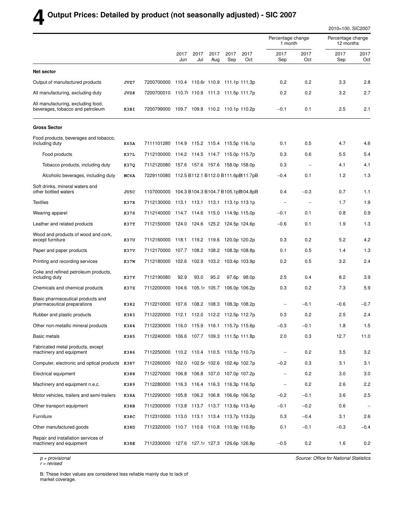## **4 Output Prices: Detailed by product (not seasonally adjusted) - SIC 2007**

|                                                                        |      |                                                |             |                    |             |                                 |             |                              |                          | 2010=100, SIC2007              |             |
|------------------------------------------------------------------------|------|------------------------------------------------|-------------|--------------------|-------------|---------------------------------|-------------|------------------------------|--------------------------|--------------------------------|-------------|
|                                                                        |      |                                                |             |                    |             |                                 |             | Percentage change<br>1 month |                          | Percentage change<br>12 months |             |
|                                                                        |      |                                                | 2017<br>Jun | 2017<br>Jul        | 2017<br>Aug | 2017<br>Sep                     | 2017<br>Oct | 2017<br>Sep                  | 2017<br>Oct              | 2017<br>Sep                    | 2017<br>Oct |
| Net sector                                                             |      |                                                |             |                    |             |                                 |             |                              |                          |                                |             |
| Output of manufactured products                                        | JVZ7 | 7200700000 110.4 110.6r 110.9 111.1p 111.3p    |             |                    |             |                                 |             | 0.2                          | 0.2                      | 3.3                            | 2.8         |
| All manufacturing, excluding duty                                      | JVZ8 | 7200700010 110.7r 110.9 111.3 111.5p 111.7p    |             |                    |             |                                 |             | 0.2                          | 0.2                      | 3.2                            | 2.7         |
| All manufacturing, excluding food,<br>beverages, tobacco and petroleum | K3BI | 7200799000 109.7 109.9 110.2 110.1p 110.2p     |             |                    |             |                                 |             | $-0.1$                       | 0.1                      | 2.5                            | 2.1         |
| <b>Gross Sector</b>                                                    |      |                                                |             |                    |             |                                 |             |                              |                          |                                |             |
| Food products, beverages and tobacco,<br>including duty                | K65A | 7111101280 114.9 115.2 115.4 115.5p 116.1p     |             |                    |             |                                 |             | 0.1                          | 0.5                      | 4.7                            | 4.6         |
| Food products                                                          | K37L | 7112100000 114.2 114.5 114.7 115.0p 115.7p     |             |                    |             |                                 |             | 0.3                          | 0.6                      | 5.5                            | 5.4         |
| Tobacco products, including duty                                       | K37Q | 7112120080 157.6 157.6 157.6 158.0p 158.0p     |             |                    |             |                                 |             | 0.3                          |                          | 4.1                            | 4.1         |
| Alcoholic beverages, including duty                                    | MC6A | 7229110080 112.5 B112.1 B112.0 B111.6pBl11.7pB |             |                    |             |                                 |             | $-0.4$                       | 0.1                      | 1.2                            | 1.3         |
| Soft drinks, mineral waters and<br>other bottled waters                | JU5C | 1107000000 104.3 B104.3 B104.7 B105.1pBI04.8pB |             |                    |             |                                 |             | 0.4                          | $-0.3$                   | 0.7                            | 1.1         |
| <b>Textiles</b>                                                        | K37R | 7112130000 113.1 113.1 113.1 113.1p 113.1p     |             |                    |             |                                 |             |                              | $\overline{\phantom{a}}$ | 1.7                            | 1.9         |
| Wearing apparel                                                        | K37S | 7112140000 114.7 114.6 115.0 114.9p 115.0p     |             |                    |             |                                 |             | $-0.1$                       | 0.1                      | 0.8                            | 0.9         |
| Leather and related products                                           | K37T | 7112150000 124.0 124.6 125.2 124.5p 124.6p     |             |                    |             |                                 |             | $-0.6$                       | 0.1                      | 1.9                            | 1.3         |
| Wood and products of wood and cork,<br>except furniture                | K37U | 7112160000 118.1 119.2 119.6                   |             |                    |             | 120.0p 120.2p                   |             | 0.3                          | 0.2                      | 5.2                            | 4.2         |
| Paper and paper products                                               | K37V | 7112170000                                     |             | 107.7 108.2 108.2  |             | 108.3p 108.8p                   |             | 0.1                          | 0.5                      | 1.4                            | 1.3         |
| Printing and recording services                                        | K37W | 7112180000                                     |             |                    |             | 102.6 102.9 103.2 103.4p 103.9p |             | 0.2                          | 0.5                      | 3.2                            | 2.4         |
| Coke and refined petroleum products,<br>including duty                 | K37Y | 7112190080                                     | 92.9        | 93.0               | 95.2        |                                 | 97.6p 98.0p | 2.5                          | 0.4                      | 8.2                            | 3.9         |
| Chemicals and chemical products                                        | K37Z | 7112200000                                     |             | 104.6 105.1r 105.7 |             | 106.0p 106.2p                   |             | 0.3                          | 0.2                      | 7.3                            | 5.9         |
| Basic pharmaceutical products and<br>pharmaceutical preparations       | K382 | 7112210000 107.6 108.2 108.3                   |             |                    |             | 108.3p 108.2p                   |             |                              | $-0.1$                   | $-0.6$                         | $-0.7$      |
| Rubber and plastic products                                            | K383 | 7112220000                                     |             |                    |             | 112.1 112.0 112.2 112.5p 112.7p |             | 0.3                          | 0.2                      | 2.5                            | 2.4         |
| Other non-metallic mineral products                                    | K384 | 7112230000 116.0 115.9 116.1 115.7p 115.6p     |             |                    |             |                                 |             | $-0.3$                       | $-0.1$                   | 1.8                            | 1.5         |
| Basic metals                                                           | K385 | 7112240000 106.6 107.7 109.3 111.5p 111.8p     |             |                    |             |                                 |             | 2.0                          | 0.3                      | 12.7                           | 11.0        |
| Fabricated metal products, except<br>machinery and equipment           | K386 | 7112250000 110.2 110.4 110.5 110.5p 110.7p     |             |                    |             |                                 |             | $\qquad \qquad -$            | 0.2                      | 3.5                            | 3.2         |
| Computer, electronic and optical products K387                         |      | 7112260000 102.0 102.5r 102.6 102.4p 102.7p    |             |                    |             |                                 |             | $-0.2$                       | 0.3                      | 3.1                            | 3.1         |
| Electrical equipment                                                   | K388 | 7112270000 106.8 106.8 107.0 107.0p 107.2p     |             |                    |             |                                 |             | $\qquad \qquad -$            | 0.2                      | 3.0                            | 3.0         |
| Machinery and equipment n.e.c.                                         | K389 | 7112280000 116.3 116.4 116.3 116.3p 116.5p     |             |                    |             |                                 |             | $\overline{a}$               | 0.2                      | 2.6                            | 2.2         |
| Motor vehicles, trailers and semi-trailers                             | K38A | 7112290000 105.8 106.2 106.8 106.6p 106.5p     |             |                    |             |                                 |             | $-0.2$                       | $-0.1$                   | 3.6                            | 2.5         |
| Other transport equipment                                              | K38B | 7112300000 113.8 113.7 113.7 113.6p 113.4p     |             |                    |             |                                 |             | $-0.1$                       | $-0.2$                   | 0.6                            |             |
| Furniture                                                              | K38C | 7112310000 113.0 113.1 113.4 113.7p 113.2p     |             |                    |             |                                 |             | 0.3                          | $-0.4$                   | 3.1                            | 2.6         |
| Other manufactured goods                                               | K38D | 7112320000 110.7 110.6 110.8 110.9p 110.8p     |             |                    |             |                                 |             | 0.1                          | $-0.1$                   | $-0.3$                         | $-0.4$      |
| Repair and installation services of<br>machinery and equipment         | K38E | 7112330000 127.6 127.1r 127.3 126.6p 126.8p    |             |                    |             |                                 |             | $-0.5$                       | 0.2                      | 1.6                            | 0.2         |

p = provisional

r = revised

Source: Office for National Statistics

B: These index values are considered less reliable mainly due to lack of market coverage.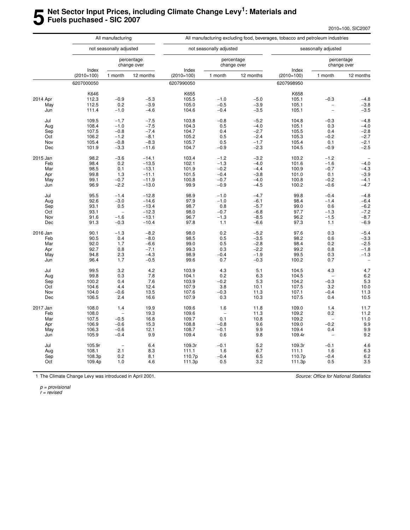## **5 Net Sector Input Prices, including Climate Change Levy<sup>1</sup> : Materials and Fuels puchased - SIC 2007**

|          |                       | All manufacturing        |                           |                       |                          |                           | All manufacturing excluding food, beverages, tobacco and petroleum industries |                          |                           |
|----------|-----------------------|--------------------------|---------------------------|-----------------------|--------------------------|---------------------------|-------------------------------------------------------------------------------|--------------------------|---------------------------|
|          |                       | not seasonally adjusted  |                           |                       | not seasonally adjusted  |                           |                                                                               | seasonally adjusted      |                           |
|          |                       |                          | percentage<br>change over |                       |                          | percentage<br>change over |                                                                               |                          | percentage<br>change over |
|          | Index<br>$(2010=100)$ | 1 month                  | 12 months                 | Index<br>$(2010=100)$ | 1 month                  | 12 months                 | Index<br>$(2010=100)$                                                         | 1 month                  | 12 months                 |
|          | 6207000050            |                          |                           | 6207990050            |                          |                           | 6207998950                                                                    |                          |                           |
|          | K646                  |                          |                           | K655                  |                          |                           | K658                                                                          |                          |                           |
| 2014 Apr | 112.3                 | $-0.9$                   | $-5.3$                    | 105.5                 | $-1.0$                   | $-5.0$                    | 105.1                                                                         | $-0.3$                   | $-4.8$                    |
| May      | 112.5                 | 0.2                      | $-3.9$                    | 105.0                 | $-0.5$                   | $-3.9$                    | 105.1                                                                         |                          | $-3.8$                    |
| Jun      | 111.4                 | $-1.0$                   | $-4.6$                    | 104.6                 | $-0.4$                   | $-3.5$                    | 105.1                                                                         | $\overline{a}$           | $-3.5$                    |
| Jul      | 109.5                 | $-1.7$                   | $-7.5$                    | 103.8                 | $-0.8$                   | $-5.2$                    | 104.8                                                                         | $-0.3$                   | $-4.8$                    |
| Aug      | 108.4                 | $-1.0$                   | $-7.5$                    | 104.3                 | 0.5                      | $-4.0$                    | 105.1                                                                         | 0.3                      | $-4.0$                    |
| Sep      | 107.5                 | $-0.8$                   | $-7.4$                    | 104.7                 | 0.4                      | $-2.7$                    | 105.5                                                                         | 0.4                      | $-2.8$                    |
| Oct      | 106.2                 | $-1.2$                   | $-8.1$                    | 105.2                 | 0.5                      | $-2.4$                    | 105.3                                                                         | $-0.2$                   | $-2.7$                    |
| Nov      | 105.4                 | $-0.8$                   | $-8.3$                    | 105.7                 | 0.5                      | $-1.7$                    | 105.4                                                                         | 0.1                      | $-2.1$                    |
| Dec      | 101.9                 | $-3.3$                   | $-11.6$                   | 104.7                 | $-0.9$                   | $-2.3$                    | 104.5                                                                         | $-0.9$                   | $-2.5$                    |
| 2015 Jan | 98.2                  | $-3.6$                   | $-14.1$                   | 103.4                 | $-1.2$                   | $-3.2$                    | 103.2                                                                         | $-1.2$                   | $\overline{\phantom{a}}$  |
| Feb      | 98.4                  | 0.2                      | $-13.5$                   | 102.1                 | $-1.3$                   | $-4.0$                    | 101.6                                                                         | $-1.6$                   | $-4.0$                    |
| Mar      | 98.5                  | 0.1                      | $-13.1$                   | 101.9                 | $-0.2$                   | $-4.4$                    | 100.9                                                                         | $-0.7$                   | $-4.3$                    |
| Apr      | 99.8                  | 1.3                      | $-11.1$                   | 101.5                 | $-0.4$                   | $-3.8$                    | 101.0                                                                         | 0.1                      | $-3.9$                    |
|          | 99.1                  | $-0.7$                   | $-11.9$                   | 100.8                 | $-0.7$                   | $-4.0$                    | 100.8                                                                         | $-0.2$                   | $-4.1$                    |
| May      | 96.9                  |                          | $-13.0$                   | 99.9                  |                          | $-4.5$                    | 100.2                                                                         |                          |                           |
| Jun      |                       | $-2.2$                   |                           |                       | $-0.9$                   |                           |                                                                               | $-0.6$                   | $-4.7$                    |
| Jul      | 95.5                  | $-1.4$                   | $-12.8$                   | 98.9                  | $-1.0$                   | $-4.7$                    | 99.8                                                                          | $-0.4$                   | $-4.8$                    |
| Aug      | 92.6                  | $-3.0$                   | $-14.6$                   | 97.9                  | $-1.0$                   | $-6.1$                    | 98.4                                                                          | $-1.4$                   | $-6.4$                    |
| Sep      | 93.1                  | 0.5                      | $-13.4$                   | 98.7                  | 0.8                      | $-5.7$                    | 99.0                                                                          | 0.6                      | $-6.2$                    |
| Oct      | 93.1                  | $\overline{a}$           | $-12.3$                   | 98.0                  | $-0.7$                   | $-6.8$                    | 97.7                                                                          | $-1.3$                   | $-7.2$                    |
| Nov      | 91.6                  | $-1.6$                   | $-13.1$                   | 96.7                  | $-1.3$                   | $-8.5$                    | 96.2                                                                          | $-1.5$                   | $-8.7$                    |
| Dec      | 91.3                  | $-0.3$                   | $-10.4$                   | 97.8                  | 1.1                      | $-6.6$                    | 97.3                                                                          | 1.1                      | $-6.9$                    |
| 2016 Jan | 90.1                  | $-1.3$                   | $-8.2$                    | 98.0                  | 0.2                      | $-5.2$                    | 97.6                                                                          | 0.3                      | $-5.4$                    |
| Feb      | 90.5                  | 0.4                      | $-8.0$                    | 98.5                  | 0.5                      | $-3.5$                    | 98.2                                                                          | 0.6                      | $-3.3$                    |
| Mar      | 92.0                  | 1.7                      | $-6.6$                    | 99.0                  | 0.5                      | $-2.8$                    | 98.4                                                                          | 0.2                      | $-2.5$                    |
| Apr      | 92.7                  | 0.8                      | $-7.1$                    | 99.3                  | 0.3                      | $-2.2$                    | 99.2                                                                          | 0.8                      | $-1.8$                    |
| May      | 94.8                  | 2.3                      | $-4.3$                    | 98.9                  | $-0.4$                   | $-1.9$                    | 99.5                                                                          | 0.3                      | $-1.3$                    |
| Jun      | 96.4                  | 1.7                      | $-0.5$                    | 99.6                  | 0.7                      | $-0.3$                    | 100.2                                                                         | 0.7                      |                           |
| Jul      | 99.5                  | 3.2                      | 4.2                       | 103.9                 | 4.3                      | 5.1                       | 104.5                                                                         | 4.3                      | 4.7                       |
| Aug      | 99.8                  | 0.3                      | 7.8                       | 104.1                 | 0.2                      | 6.3                       | 104.5                                                                         | $\overline{\phantom{0}}$ | 6.2                       |
| Sep      | 100.2                 | 0.4                      | 7.6                       | 103.9                 | $-0.2$                   | 5.3                       | 104.2                                                                         | $-0.3$                   | 5.3                       |
| Oct      | 104.6                 | 4.4                      | 12.4                      | 107.9                 | 3.8                      | 10.1                      | 107.5                                                                         | 3.2                      | 10.0                      |
| Nov      | 104.0                 | $-0.6$                   | 13.5                      | 107.6                 | $-0.3$                   | 11.3                      | 107.1                                                                         | $-0.4$                   | 11.3                      |
| Dec      | 106.5                 | 2.4                      | 16.6                      | 107.9                 | 0.3                      | 10.3                      | 107.5                                                                         | 0.4                      | 10.5                      |
| 2017 Jan | 108.0                 | 1.4                      | 19.9                      | 109.6                 | 1.6                      | 11.8                      | 109.0                                                                         | 1.4                      | 11.7                      |
| Feb      | 108.0                 | $\overline{\phantom{0}}$ | 19.3                      | 109.6                 | $\overline{\phantom{a}}$ | 11.3                      | 109.2                                                                         | 0.2                      | 11.2                      |
| Mar      | 107.5                 | $-0.5$                   | 16.8                      | 109.7                 | 0.1                      | 10.8                      | 109.2                                                                         | $\overline{\phantom{0}}$ | 11.0                      |
| Apr      | 106.9                 | $-0.6$                   | 15.3                      | 108.8                 | $-0.8$                   | 9.6                       | 109.0                                                                         | $-0.2$                   | 9.9                       |
| May      | 106.3                 | $-0.6$                   | 12.1                      | 108.7                 | $-0.1$                   | 9.9                       | 109.4                                                                         | 0.4                      | 9.9                       |
| Jun      | 105.9                 | $-0.4$                   | 9.9                       | 109.4                 | 0.6                      | 9.8                       | 109.4r                                                                        | $\overline{\phantom{0}}$ | 9.2                       |
|          |                       |                          |                           |                       |                          |                           |                                                                               |                          |                           |
| Jul      | 105.9r                | $\overline{\phantom{a}}$ | 6.4                       | 109.3r                | $-0.1$                   | 5.2                       | 109.3r                                                                        | $-0.1$                   | 4.6                       |
| Aug      | 108.1                 | 2.1                      | 8.3                       | 111.1                 | 1.6                      | 6.7                       | 111.1                                                                         | 1.6                      | 6.3                       |
| Sep      | 108.3p                | 0.2                      | 8.1                       | 110.7p                | $-0.4$                   | 6.5                       | 110.7p                                                                        | $-0.4$                   | 6.2                       |
| Oct      | 109.4p                | 1.0                      | 4.6                       | 111.3p                | 0.5                      | 3.2                       | 111.3p                                                                        | 0.5                      | 3.5                       |
|          |                       |                          |                           |                       |                          |                           |                                                                               |                          |                           |

1 The Climate Change Levy was introduced in April 2001.

Source: Office for National Statistics

p = provisional

r = revised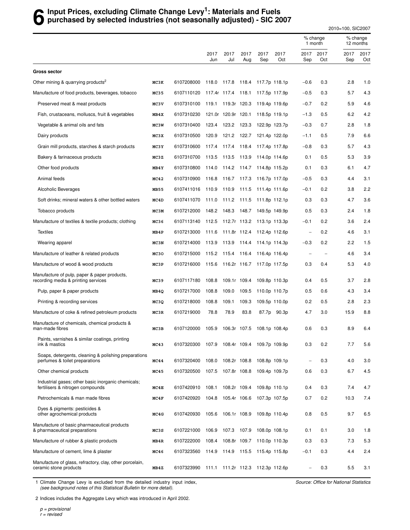## **6** Input Prices, excluding Climate Change Levy<sup>1</sup>: Materials and Fuels<br>**6** purchased by selected industries (not seasonally adjusted) - SIC 20 **purchased by selected industries (not seasonally adjusted) - SIC 2007**

2010=100, SIC2007

|                                                                                        |             |                                                  |                     |                    |             |                                  |               | % change<br>1 month               |             | % change<br>12 months |             |
|----------------------------------------------------------------------------------------|-------------|--------------------------------------------------|---------------------|--------------------|-------------|----------------------------------|---------------|-----------------------------------|-------------|-----------------------|-------------|
|                                                                                        |             |                                                  | 2017<br>Jun         | 2017<br>Jul        | 2017<br>Aug | 2017<br>Sep                      | 2017<br>Oct   | 2017<br>Sep                       | 2017<br>Oct | 2017<br>Sep           | 2017<br>Oct |
| <b>Gross sector</b>                                                                    |             |                                                  |                     |                    |             |                                  |               |                                   |             |                       |             |
| Other mining & quarrying products <sup>2</sup>                                         | MC3K        | 6107208000                                       | 118.0 117.8         |                    | 118.4       | 117.7p 118.1p                    |               | $-0.6$                            | 0.3         | 2.8                   | 1.0         |
| Manufacture of food products, beverages, tobacco                                       | MC35        | 6107110120 117.4r 117.4 118.1                    |                     |                    |             | 117.5p 117.9p                    |               | $-0.5$                            | 0.3         | 5.7                   | 4.3         |
| Preserved meat & meat products                                                         | MC3V        | 6107310100                                       |                     | 119.1 119.3r 120.3 |             |                                  | 119.4p 119.6p | $-0.7$                            | 0.2         | 5.9                   | 4.6         |
| Fish, crustaceans, molluscs, fruit & vegetables                                        | MB4X        | 6107310230                                       | 121.0r 120.9r 120.1 |                    |             |                                  | 118.5p 119.1p | $-1.3$                            | 0.5         | 6.2                   | 4.2         |
| Vegetable & animal oils and fats                                                       | MC3W        | 6107310400                                       | 123.4 123.2 123.3   |                    |             | 122.9p 123.7p                    |               | $-0.3$                            | 0.7         | 2.8                   | 1.8         |
| Dairy products                                                                         | MC3X        | 6107310500                                       | 120.9               | 121.2 122.7        |             |                                  | 121.4p 122.0p | $-1.1$                            | 0.5         | 7.9                   | 6.6         |
| Grain mill products, starches & starch products                                        | MC3Y        | 6107310600                                       | 117.4               | 117.4 118.4        |             | 117.4p 117.8p                    |               | $-0.8$                            | 0.3         | 5.7                   | 4.3         |
| Bakery & farinaceous products                                                          | MC3Z        | 6107310700 113.5 113.5 113.9                     |                     |                    |             | 114.0p 114.6p                    |               | 0.1                               | 0.5         | 5.3                   | 3.9         |
| Other food products                                                                    | MB4Y        | 6107310800                                       | 114.0               | 114.2 114.7        |             |                                  | 114.8p 115.2p | 0.1                               | 0.3         | 6.1                   | 4.7         |
| Animal feeds                                                                           | MC42        | 6107310900                                       | 116.8               | 116.7 117.3        |             | 116.7p 117.0p                    |               | $-0.5$                            | 0.3         | 4.4                   | 3.1         |
| Alcoholic Beverages                                                                    | <b>MB55</b> | 6107411016 110.9 110.9 111.5                     |                     |                    |             | 111.4p 111.6p                    |               | $-0.1$                            | 0.2         | 3.8                   | 2.2         |
| Soft drinks; mineral waters & other bottled waters                                     | MC4D        | 6107411070                                       | 111.0               | 111.2 111.5        |             |                                  | 111.8p 112.1p | 0.3                               | 0.3         | 4.7                   | 3.6         |
| Tobacco products                                                                       | MC3M        | 6107212000                                       | 148.2               | 148.3 148.7        |             | 149.5p 149.9p                    |               | 0.5                               | 0.3         | 2.4                   | 1.8         |
| Manufacture of textiles & textile products; clothing                                   | MC36        | 6107113140  112.5  112.7r  113.2                 |                     |                    |             | 113.1p 113.3p                    |               | $-0.1$                            | 0.2         | 3.6                   | 2.4         |
| <b>Textiles</b>                                                                        | MB4P        | 6107213000                                       | 111.6               | 111.8r 112.4       |             |                                  | 112.4p 112.6p | $\hspace{1.0cm} - \hspace{1.0cm}$ | 0.2         | 4.6                   | 3.1         |
| Wearing apparel                                                                        | MC3N        | 6107214000                                       | 113.9               | 113.9 114.4        |             | 114.1p 114.3p                    |               | $-0.3$                            | 0.2         | 2.2                   | 1.5         |
| Manufacture of leather & related products                                              | MC30        | 6107215000                                       |                     |                    |             | 115.2 115.4 116.4 116.4p 116.4p  |               | ۰                                 |             | 4.6                   | 3.4         |
| Manufacture of wood & wood products                                                    | MC3P        | 6107216000                                       |                     |                    |             | 115.6 116.2r 116.7 117.0p 117.5p |               | 0.3                               | 0.4         | 5.3                   | 4.0         |
| Manufacture of pulp, paper & paper products,<br>recording media & printing services    | MC39        | 6107117180                                       | 108.8               | 109.1r 109.4       |             |                                  | 109.8p 110.3p | 0.4                               | 0.5         | 3.7                   | 2.8         |
| Pulp, paper & paper products                                                           | MB4Q        | 6107217000                                       | 108.8               | 109.0              | 109.5       |                                  | 110.0p 110.7p | 0.5                               | 0.6         | 4.3                   | 3.4         |
| Printing & recording services                                                          | MC3Q        | 6107218000                                       | 108.8               | 109.1              | 109.3       |                                  | 109.5p 110.0p | 0.2                               | 0.5         | 2.8                   | 2.3         |
| Manufacture of coke & refined petroleum products                                       | MC3R        | 6107219000                                       | 78.8                | 78.9               | 83.8        | 87.7p                            | 90.3p         | 4.7                               | 3.0         | 15.9                  | 8.8         |
| Manufacture of chemicals, chemical products &<br>man-made fibres                       | MC3B        | 6107120000                                       | 105.9               | 106.3r 107.5       |             |                                  | 108.1p 108.4p | 0.6                               | 0.3         | 8.9                   | 6.4         |
| Paints, varnishes & similar coatings, printing<br>ink & mastics                        | MC43        | 6107320300 107.9 108.4r 109.4 109.7p 109.9p      |                     |                    |             |                                  |               | 0.3                               | 0.2         | 7.7                   | 5.6         |
| Soaps, detergents, cleaning & polishing preparations<br>perfumes & toilet preparations | MC44        | 6107320400                                       | 108.0               | 108.2r 108.8       |             |                                  | 108.8p 109.1p | $\overline{\phantom{a}}$          | 0.3         | 4.0                   | 3.0         |
| Other chemical products                                                                | MC45        | 6107320500 107.5                                 |                     | 107.8r 108.8       |             |                                  | 109.4p 109.7p | 0.6                               | 0.3         | 6.7                   | 4.5         |
| Industrial gases; other basic inorganic chemicals;<br>fertilisers & nitrogen compounds | MC4E        | 6107420910 108.1                                 |                     | 108.2r 109.4       |             |                                  | 109.8p 110.1p | 0.4                               | 0.3         | 7.4                   | 4.7         |
| Petrochemicals & man made fibres                                                       | MC4F        | 6107420920 104.8                                 |                     | 105.4r 106.6       |             |                                  | 107.3p 107.5p | 0.7                               | 0.2         | 10.3                  | 7.4         |
| Dyes & pigments: pesticides &<br>other agrochemical products                           | MC4G        | 6107420930 105.6 106.1r 108.9                    |                     |                    |             |                                  | 109.8p 110.4p | 0.8                               | 0.5         | 9.7                   | 6.5         |
| Manufacture of basic pharmaceutical products<br>& pharmaceutical preparations          | MC3S        | 6107221000                                       | 106.9               | 107.3 107.9        |             |                                  | 108.0p 108.1p | 0.1                               | 0.1         | 3.0                   | 1.8         |
| Manufacture of rubber & plastic products                                               | MB4R        | 6107222000                                       | 108.4               | 108.8r 109.7       |             |                                  | 110.0p 110.3p | 0.3                               | 0.3         | 7.3                   | 5.3         |
| Manufacture of cement, lime & plaster                                                  | MC46        | 6107323560 114.9 114.9 115.5                     |                     |                    |             | 115.4p 115.8p                    |               | $-0.1$                            | 0.3         | 4.4                   | 2.4         |
| Manufacture of glass, refractory, clay, other porcelain,<br>ceramic stone products     | MB4Z        | 6107323990  111.1  111.2r  112.3  112.3p  112.6p |                     |                    |             |                                  |               |                                   | 0.3         | 5.5                   | 3.1         |

1 Climate Change Levy is excluded from the detailed industry input index, (see background notes of this Statistical Bulletin for more detail).

Source: Office for National Statistics

2 Indices includes the Aggregate Levy which was introduced in April 2002.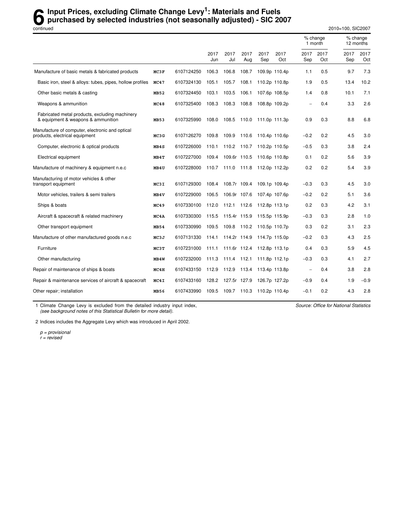## **6** Input Prices, excluding Climate Change Levy<sup>1</sup>: Materials and Fuels<br>
purchased by selected industries (not seasonally adjusted) - SIC 20 **purchased by selected industries (not seasonally adjusted) - SIC 2007**

continued 2010=100, SIC2007

|                                                                                      |      |            |             |                   |              |                            |               |             | % change<br>1 month |             | % change<br>12 months |
|--------------------------------------------------------------------------------------|------|------------|-------------|-------------------|--------------|----------------------------|---------------|-------------|---------------------|-------------|-----------------------|
|                                                                                      |      |            | 2017<br>Jun | 2017<br>Jul       | 2017<br>Aug  | 2017<br>Sep                | 2017<br>Oct   | 2017<br>Sep | 2017<br>Oct         | 2017<br>Sep | 2017<br>Oct           |
| Manufacture of basic metals & fabricated products                                    | MC3F | 6107124250 | 106.3       | 106.8             | 108.7        |                            | 109.9p 110.4p | 1.1         | 0.5                 | 9.7         | 7.3                   |
| Basic iron, steel & alloys: tubes, pipes, hollow profiles                            | MC47 | 6107324130 | 105.1       | 105.7             | 108.1        |                            | 110.2p 110.8p | 1.9         | 0.5                 | 13.4        | 10.2                  |
| Other basic metals & casting                                                         | MB52 | 6107324450 | 103.1       | 103.5             | 106.1        |                            | 107.6p 108.5p | 1.4         | 0.8                 | 10.1        | 7.1                   |
| Weapons & ammunition                                                                 | MC48 | 6107325400 | 108.3       | 108.3             | 108.8        |                            | 108.8p 109.2p |             | 0.4                 | 3.3         | 2.6                   |
| Fabricated metal products, excluding machinery<br>& equipment & weapons & ammunition | MB53 | 6107325990 | 108.0       | 108.5             | 110.0        |                            | 111.0p 111.3p | 0.9         | 0.3                 | 8.8         | 6.8                   |
| Manufacture of computer, electronic and optical<br>products, electrical equipment    | MC3G | 6107126270 | 109.8       | 109.9             | 110.6        | 110.4p 110.6p              |               | $-0.2$      | 0.2                 | 4.5         | 3.0                   |
| Computer, electronic & optical products                                              | MB4S | 6107226000 | 110.1       | 110.2 110.7       |              |                            | 110.2p 110.5p | $-0.5$      | 0.3                 | 3.8         | 2.4                   |
| Electrical equipment                                                                 | MB4T | 6107227000 | 109.4       |                   |              | 109.6r 110.5 110.6p 110.8p |               | 0.1         | 0.2                 | 5.6         | 3.9                   |
| Manufacture of machinery & equipment n.e.c                                           | MB4U | 6107228000 |             | 110.7 111.0 111.8 |              | 112.0p 112.2p              |               | 0.2         | 0.2                 | 5.4         | 3.9                   |
| Manufacturing of motor vehicles & other<br>transport equipment                       | MC3I | 6107129300 | 108.4       |                   | 108.7r 109.4 | 109.1p 109.4p              |               | $-0.3$      | 0.3                 | 4.5         | 3.0                   |
| Motor vehicles, trailers & semi trailers                                             | MB4V | 6107229000 | 106.5       | 106.9r 107.6      |              |                            | 107.4p 107.6p | $-0.2$      | 0.2                 | 5.1         | 3.6                   |
| Ships & boats                                                                        | MC49 | 6107330100 | 112.0       | 112.1             | 112.6        |                            | 112.8p 113.1p | 0.2         | 0.3                 | 4.2         | 3.1                   |
| Aircraft & spacecraft & related machinery                                            | MC4A | 6107330300 | 115.5       | 115.4r 115.9      |              |                            | 115.5p 115.9p | $-0.3$      | 0.3                 | 2.8         | 1.0                   |
| Other transport equipment                                                            | MB54 | 6107330990 | 109.5       | 109.8 110.2       |              | 110.5p 110.7p              |               | 0.3         | 0.2                 | 3.1         | 2.3                   |
| Manufacture of other manufactured goods n.e.c                                        | MC3J | 6107131330 | 114.1       | 114.2r 114.9      |              |                            | 114.7p 115.0p | $-0.2$      | 0.3                 | 4.3         | 2.5                   |
| Furniture                                                                            | MC3T | 6107231000 | 111.1       |                   |              | 111.6r 112.4 112.8p 113.1p |               | 0.4         | 0.3                 | 5.9         | 4.5                   |
| Other manufacturing                                                                  | MB4W | 6107232000 | 111.3       | 111.4 112.1       |              | 111.8p 112.1p              |               | $-0.3$      | 0.3                 | 4.1         | 2.7                   |
| Repair of maintenance of ships & boats                                               | MC4H | 6107433150 | 112.9       | 112.9             | 113.4        | 113.4p 113.8p              |               | L.          | 0.4                 | 3.8         | 2.8                   |
| Repair & maintenance services of aircraft & spacecraft                               | MC4I | 6107433160 | 128.2       | 127.5r 127.9      |              |                            | 126.7p 127.2p | $-0.9$      | 0.4                 | 1.9         | $-0.9$                |
| Other repair; installation                                                           | MB56 | 6107433990 |             | 109.5 109.7 110.3 |              | 110.2p 110.4p              |               | $-0.1$      | 0.2                 | 4.3         | 2.8                   |

1 Climate Change Levy is excluded from the detailed industry input index, (see background notes of this Statistical Bulletin for more detail).

Source: Office for National Statistics

2 Indices includes the Aggregate Levy which was introduced in April 2002.

p = provisional r = revised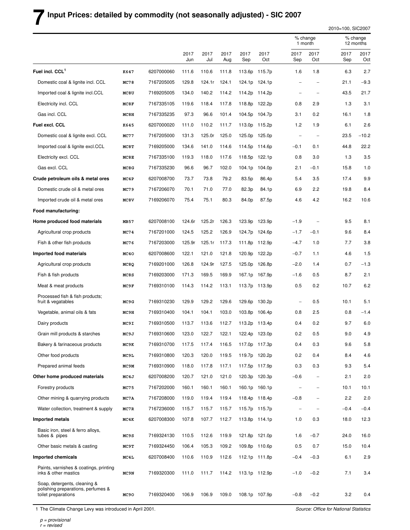## **7 Input Prices: detailed by commodity (not seasonally adjusted) - SIC 2007**

2010=100, SIC2007

|                                                                                           |                  |            |             |             |             |             |                    |                          | % change<br>1 month      |             | % change<br>12 months |  |
|-------------------------------------------------------------------------------------------|------------------|------------|-------------|-------------|-------------|-------------|--------------------|--------------------------|--------------------------|-------------|-----------------------|--|
|                                                                                           |                  |            | 2017<br>Jun | 2017<br>Jul | 2017<br>Aug | 2017<br>Sep | 2017<br>Oct        | 2017<br>Sep              | 2017<br>Oct              | 2017<br>Sep | 2017<br>Oct           |  |
| Fuel incl. CCL <sup>1</sup>                                                               | K647             | 6207000060 | 111.6       | 110.6       | 111.8       | 113.6p      | 115.7 <sub>p</sub> | 1.6                      | 1.8                      | 6.3         | 2.7                   |  |
| Domestic coal & lignite incl. CCL                                                         | MC78             | 7167205005 | 129.8       | 124.1r      | 124.1       |             | 124.1p 124.1p      | -                        | $\overline{\phantom{0}}$ | 21.1        | $-9.3$                |  |
| Imported coal & lignite incl.CCL                                                          | MC8U             | 7169205005 | 134.0       | 140.2       | 114.2       |             | 114.2p 114.2p      | -                        |                          | 43.5        | 21.7                  |  |
| Electricity incl. CCL                                                                     | MC8F             | 7167335105 | 119.6       | 118.4       | 117.8       | 118.8p      | 122.2p             | 0.8                      | 2.9                      | 1.3         | 3.1                   |  |
| Gas incl. CCL                                                                             | MC <sub>8H</sub> | 7167335235 | 97.3        | 96.6        | 101.4       |             | 104.5p 104.7p      | 3.1                      | 0.2                      | 16.1        | 1.8                   |  |
| Fuel excl. CCL                                                                            | K645             | 6207000020 | 111.0       | 110.2       | 111.7       |             | 113.0p 115.2p      | 1.2                      | 1.9                      | 6.1         | 2.6                   |  |
| Domestic coal & lignite excl. CCL                                                         | MC77             | 7167205000 | 131.3       | 125.0r      | 125.0       | 125.0p      | 125.0p             |                          |                          | 23.5        | $-10.2$               |  |
| Imported coal & lignite excl.CCL                                                          | MC8T             | 7169205000 | 134.6       | 141.0       | 114.6       | 114.5p      | 114.6p             | $-0.1$                   | 0.1                      | 44.8        | 22.2                  |  |
| Electricity excl. CCL                                                                     | MC8E             | 7167335100 | 119.3       | 118.0       | 117.6       | 118.5p      | 122.1p             | 0.8                      | 3.0                      | 1.3         | 3.5                   |  |
| Gas excl. CCL                                                                             | MC8G             | 7167335230 | 96.6        | 96.7        | 102.0       | 104.1p      | 104.0p             | 2.1                      | $-0.1$                   | 15.8        | 1.0                   |  |
| Crude petroleum oils & metal ores                                                         | MC4P             | 6207008700 | 73.7        | 73.8        | 79.2        | 83.5p       | 86.4p              | 5.4                      | 3.5                      | 17.4        | 9.9                   |  |
| Domestic crude oil & metal ores                                                           | MC79             | 7167206070 | 70.1        | 71.0        | 77.0        | 82.3p       | 84.1p              | 6.9                      | 2.2                      | 19.8        | 8.4                   |  |
| Imported crude oil & metal ores                                                           | MC8V             | 7169206070 | 75.4        | 75.1        | 80.3        | 84.0p       | 87.5p              | 4.6                      | 4.2                      | 16.2        | 10.6                  |  |
| Food manufacturing:                                                                       |                  |            |             |             |             |             |                    |                          |                          |             |                       |  |
| Home produced food materials                                                              | MB57             | 6207008100 | 124.6r      | 125.2r      | 126.3       | 123.9p      | 123.9p             | $-1.9$                   |                          | 9.5         | 8.1                   |  |
| Agricultural crop products                                                                | MC74             | 7167201000 | 124.5       | 125.2       | 126.9       | 124.7p      | 124.6p             | $-1.7$                   | $-0.1$                   | 9.6         | 8.4                   |  |
| Fish & other fish products                                                                | MC76             | 7167203000 | 125.9r      | 125.1r      | 117.3       | 111.8p      | 112.9p             | $-4.7$                   | 1.0                      | 7.7         | 3.8                   |  |
| Imported food materials                                                                   | MC40             | 6207008600 | 122.1       | 121.0       | 121.8       |             | 120.9p 122.2p      | $-0.7$                   | 1.1                      | 4.6         | 1.5                   |  |
| Agricultural crop products                                                                | MC8Q             | 7169201000 | 126.8       | 124.9r      | 127.5       | 125.0p      | 126.8p             | $-2.0$                   | 1.4                      | 0.7         | $-1.3$                |  |
| Fish & fish products                                                                      | MC8S             | 7169203000 | 171.3       | 169.5       | 169.9       |             | 167.1p 167.9p      | $-1.6$                   | 0.5                      | 8.7         | 2.1                   |  |
| Meat & meat products                                                                      | MC9F             | 7169310100 | 114.3       | 114.2       | 113.1       |             | 113.7p 113.9p      | 0.5                      | 0.2                      | 10.7        | 6.2                   |  |
| Processed fish & fish products;<br>fruit & vegatables                                     | MC9G             | 7169310230 | 129.9       | 129.2       | 129.6       | 129.6p      | 130.2p             | $\overline{\phantom{0}}$ | 0.5                      | 10.1        | 5.1                   |  |
| Vegetable, animal oils & fats                                                             | MC9H             | 7169310400 | 104.1       | 104.1       | 103.0       | 103.8p      | 106.4p             | 0.8                      | 2.5                      | 0.8         | $-1.4$                |  |
| Dairy products                                                                            | MC9I             | 7169310500 | 113.7       | 113.6       | 112.7       | 113.2p      | 113.4p             | 0.4                      | 0.2                      | 9.7         | 6.0                   |  |
| Grain mill products & starches                                                            | MC9J             | 7169310600 | 123.0       | 122.7       | 122.1       |             | 122.4p 123.0p      | 0.2                      | 0.5                      | 9.0         | 4.9                   |  |
| Bakery & farinaceous products                                                             | MC9K             | 7169310700 | 117.5       | 117.4       | 116.5       |             | 117.0p 117.3p      | 0.4                      | 0.3                      | 9.6         | 5.8                   |  |
| Other food products                                                                       | MC9L             | 7169310800 | 120.3       | 120.0       | 119.5       |             | 119.7p 120.2p      | 0.2                      | 0.4                      | 8.4         | 4.6                   |  |
| Prepared animal feeds                                                                     | MC9M             | 7169310900 | 118.0       | 117.8       | 117.1       |             | 117.5p 117.9p      | 0.3                      | 0.3                      | 9.3         | 5.4                   |  |
| Other home produced materials                                                             | MC4J             | 6207008200 | 120.7       | 121.0       | 121.0       |             | 120.3p 120.3p      | $-0.6$                   | $\overline{\phantom{a}}$ | 2.1         | 2.0                   |  |
| Forestry products                                                                         | MC75             | 7167202000 | 160.1       | 160.1       | 160.1       |             | 160.1p 160.1p      | $\overline{a}$           | $\overline{\phantom{0}}$ | 10.1        | 10.1                  |  |
| Other mining & quarrying products                                                         | MC7A             | 7167208000 | 119.0       | 119.4       | 119.4       |             | 118.4p 118.4p      | $-0.8$                   | $\overline{\phantom{0}}$ | 2.2         | 2.0                   |  |
| Water collection, treatment & supply                                                      | MC7R             | 7167236000 | 115.7       | 115.7       | 115.7       |             | 115.7p 115.7p      | $\qquad \qquad -$        | $\qquad \qquad -$        | $-0.4$      | $-0.4$                |  |
| Imported metals                                                                           | MC4K             | 6207008300 | 107.8       | 107.7       | 112.7       |             | 113.8p 114.1p      | 1.0                      | 0.3                      | 18.0        | 12.3                  |  |
| Basic iron, steel & ferro alloys,<br>tubes & pipes                                        | MC9S             | 7169324130 | 110.5       | 112.6       | 119.9       |             | 121.8p 121.0p      | 1.6                      | $-0.7$                   | 24.0        | 16.0                  |  |
| Other basic metals & casting                                                              | MC9T             | 7169324450 | 106.4       | 105.3       | 109.2       |             | 109.8p 110.6p      | 0.5                      | 0.7                      | 15.0        | 10.4                  |  |
| Imported chemicals                                                                        | MC4L             | 6207008400 | 110.6       | 110.9       | 112.6       |             | 112.1p 111.8p      | $-0.4$                   | $-0.3$                   | 6.1         | 2.9                   |  |
| Paints, varnishes & coatings, printing<br>inks & other mastics                            | MC9N             | 7169320300 | 111.0       | 111.7       | 114.2       |             | 113.1p 112.9p      | $-1.0$                   | $-0.2$                   | 7.1         | 3.4                   |  |
| Soap, detergents, cleaning &<br>polishing preparations, perfumes &<br>toilet preparations | MC90             | 7169320400 | 106.9       | 106.9       | 109.0       |             | 108.1p 107.9p      | $-0.8$                   | $-0.2$                   | 3.2         | 0.4                   |  |

1 The Climate Change Levy was introduced in April 2001.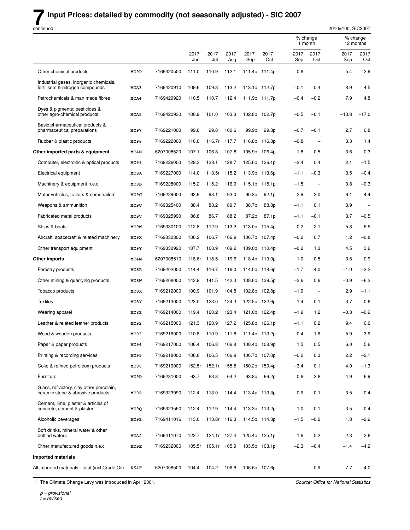#### **Input Prices: detailed by commodity (not seasonally adjusted) - SIC 2007**

continued

2010=100, SIC2007 % change % change<br>1 month 12 months 12 months 2017 2017 2017 2017 2017 2017 2017 2017 2017 Jun Jul Aug Sep Oct Sep Oct Sep Oct Other chemical products **MC9P** 7169320500 111.0 110.9 112.1 111.4p 111.4p −0.6 − 5.4 2.9 Industrial gases, inorganic chemicals, fertilisers & nitrogen compounds **MCA3** 7169420910 109.6 109.8 113.2 113.1p 112.7p −0.1 −0.4 8.9 4.5 Petrochemicals & man made fibres **MCA4** 7169420920 110.5 110.7 112.4 111.9p 111.7p −0.4 −0.2 7.9 4.8 Dyes & pigments; pesticides & other agro-chemical products **MCA5** 7169420930 100.9 101.0 103.3 102.8p 102.7p −0.5 −0.1 −13.8 −17.0 Basic pharmaceutical products & phar maceutical preparations **MC97** 7169221000 99.6 99.8 100.6 99.9p 99.8p −0.7 −0.1 2.7 0.8 Rubber & plastic products **MC98** 7169222000 116.0 116.7r 117.7 116.8p 116.8p −0.8 − 3.3 1.4 **Other imported parts & equipment MC4N** 6207008520 107.1 106.8 107.8 105.9p 106.4p −1.8 0.5 3.6 0.3 Computer, electronic & optical products **MC99** 7169226000 129.3 128.1 128.7 125.6p 126.1p −2.4 0.4 2.1 −1.5 Electrical equipment **MC9A** 7169227000 114.0 113.5r 115.2 113.9p 113.6p −1.1 −0.3 3.5 −0.4 Machinery & equipment n.e.c **MC9B** 7169228000 115.2 115.2 116.9 115.1p −1.5 − 3.8 −0.3 Motor vehicles, trailers & semi-trailers **MC9C** 7169229000 92.9 93.1 93.0 90.3p 92.1p −2.9 2.0 6.1 4.4 Weapons & ammunition **MC9U** 7169325400 88.4 88.2 89.7 88.7p 88.8p −1.1 0.1 3.9 Fabr icated metal products **MC9V** 7169325990 86.8 86.7 88.2 87.2p 87.1p −1.1 −0.1 3.7 −0.5 Ships & boats **MC9W** 7169330100 112.8 112.9 113.2 113.0p 115.4p −0.2 2.1 5.8 6.5 Aircraft, spacecraft & related machinery **MC9X** 7169330300 106.2 106.7 106.9 106.7p 107.4p −0.2 0.7 1.2 −0.8 Other transport equipment **MC9Y** 7169330990 107.7 108.9 109.2 109.0p 110.4p −0.2 1.3 4.5 3.6 **Other imports MC4M** 6207008510 118.6r 118.5 119.6 118.4p 119.0p −1.0 0.5 3.8 0.9 Forestry products **MC8R** 7169202000 114.4 116.7 116.0 114.0p 118.6p −1.7 4.0 −1.0 −3.2 Other mining & quarrying products **MC8W** 7169208000 143.9 141.5 142.3 138.6p 139.5p −2.6 0.6 −0.9 −6.2 Tobacco products **MC8X** 7169212000 100.9 101.9 104.8 102.8p 102.8p −1.9 − 2.9 −1.1 Te xtiles **MC8Y** 7169213000 123.0 123.0 124.3 122.5p 122.6p −1.4 0.1 3.7 −0.6 Wearing apparel **MC8Z** 7169214000 119.4 120.2 123.4 121.0p 122.4p −1.9 1.2 −0.3 −0.9 Leather & related leather products **MC92** 7169215000 121.3 120.9 127.2 125.8p 126.1p −1.1 0.2 9.4 6.6 Wood & wooden products **MC93** 7169216000 110.8 110.9 111.8 111.4p 113.2p −0.4 1.6 5.9 3.9 Paper & paper products **MC94** 7169217000 106.4 106.8 106.8 108.4p 108.9p 1.5 0.5 6.0 5.6 Printing & recording services **MC95** 7169218000 106.6 106.5 106.9 106.7p 107.0p −0.2 0.3 2.2 −2.1 Coke & refined petroleum products **MC96** 7169219000 152.5r 152.1r 155.5 150.2p 150.4p −3.4 0.1 4.0 −1.3 Fur niture **MC9D** 7169231000 63.7 63.8 64.2 63.8p 66.2p −0.6 3.8 4.9 6.9 Glass, refractory, clay other porcelain, ceramic stone & abrasive products **MC9R** 7169323990 112.4 113.0 114.4 113.4p 113.3p −0.9 −0.1 3.5 0.4 Cement, lime, plaster & articles of concrete, cement & plaster **MC9Q** 7169323560 112.4 112.9 114.4 113.3p 113.2p −1.0 −0.1 3.5 0.4 Alcoholic beverages **MC9Z** 7169411016 113.0 113.8r 116.3 114.5p 114.3p −1.5 −0.2 1.8 −2.9 Soft drinks, mineral water & other bottled waters **MCA2** 7169411070 122.7 124.1r 127.4 125.4p 125.1p −1.6 −0.2 2.3 −2.6 Other manufactured goods n.e.c **MC9E** 7169232000 105.5r 105.1r 105.9 103.5p 103.1p −2.3 −0.4 −1.4 −4.2 **Impor ted materials** All imported materials - total (incl Crude Oil) **K64F** 6207008500 104.4 104.2 106.6 106.6p 107.6p − 0.9 7.7 4.0

1 The Climate Change Levy was introduced in April 2001.

 $p =$  provisional  $r =$  revised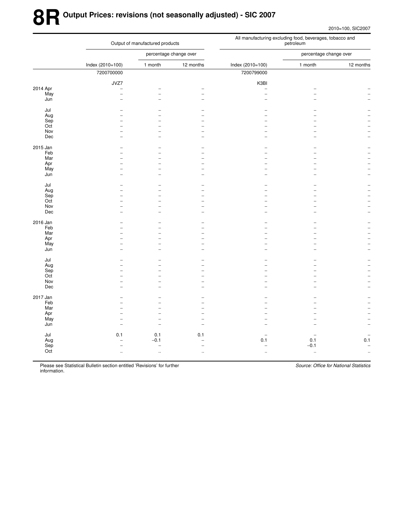# **8R Output Prices: revisions (not seasonally adjusted) - SIC 2007**

2010=100, SIC2007

|          |                          | Output of manufactured products |                          | All manufacturing excluding food, beverages, tobacco and<br>petroleum |                        |                          |  |  |
|----------|--------------------------|---------------------------------|--------------------------|-----------------------------------------------------------------------|------------------------|--------------------------|--|--|
|          |                          | percentage change over          |                          |                                                                       | percentage change over |                          |  |  |
|          | Index (2010=100)         | 1 month                         | 12 months                | Index (2010=100)                                                      | 1 month                | 12 months                |  |  |
|          | 7200700000               |                                 |                          | 7200799000                                                            |                        |                          |  |  |
|          | JVZ7                     |                                 |                          | K3BI                                                                  |                        |                          |  |  |
| 2014 Apr | $\overline{\phantom{a}}$ |                                 |                          | $\overline{\phantom{a}}$                                              |                        |                          |  |  |
| May      | $\overline{\phantom{a}}$ | $\overline{\phantom{a}}$        | $\overline{\phantom{0}}$ | $\overline{\phantom{0}}$                                              |                        |                          |  |  |
| Jun      | L.                       | L                               |                          |                                                                       |                        |                          |  |  |
| Jul      |                          |                                 |                          |                                                                       |                        |                          |  |  |
| Aug      |                          | $\overline{\phantom{0}}$        |                          |                                                                       |                        |                          |  |  |
| Sep      |                          | $\overline{\phantom{0}}$        |                          |                                                                       |                        |                          |  |  |
| Oct      |                          | $\overline{\phantom{0}}$        |                          |                                                                       |                        |                          |  |  |
| Nov      |                          | $\overline{\phantom{0}}$        |                          |                                                                       |                        |                          |  |  |
| Dec      |                          | $\overline{a}$                  |                          |                                                                       |                        |                          |  |  |
| 2015 Jan |                          |                                 |                          |                                                                       |                        |                          |  |  |
| Feb      |                          | L.                              |                          |                                                                       |                        |                          |  |  |
| Mar      |                          |                                 |                          |                                                                       |                        |                          |  |  |
| Apr      |                          | $\overline{\phantom{0}}$        |                          |                                                                       |                        |                          |  |  |
| May      |                          | $\overline{a}$                  |                          |                                                                       |                        |                          |  |  |
| Jun      |                          | $\overline{\phantom{0}}$        |                          |                                                                       |                        |                          |  |  |
| Jul      |                          |                                 |                          |                                                                       |                        |                          |  |  |
| Aug      |                          | $\overline{a}$                  |                          |                                                                       |                        |                          |  |  |
| Sep      |                          | $\overline{\phantom{0}}$        |                          |                                                                       |                        |                          |  |  |
| Oct      |                          | $\overline{\phantom{0}}$        |                          |                                                                       |                        |                          |  |  |
| Nov      | $\overline{\phantom{a}}$ | $\overline{\phantom{0}}$        |                          |                                                                       |                        |                          |  |  |
| Dec      |                          | $\overline{\phantom{0}}$        |                          |                                                                       |                        |                          |  |  |
| 2016 Jan |                          |                                 |                          |                                                                       |                        |                          |  |  |
| Feb      |                          | L.                              |                          |                                                                       |                        |                          |  |  |
| Mar      |                          | $\overline{\phantom{0}}$        |                          |                                                                       |                        |                          |  |  |
| Apr      |                          | $\overline{\phantom{0}}$        |                          |                                                                       |                        |                          |  |  |
| May      |                          | $\overline{\phantom{0}}$        |                          |                                                                       |                        |                          |  |  |
| Jun      |                          | L.                              |                          |                                                                       |                        |                          |  |  |
| Jul      |                          |                                 |                          |                                                                       |                        |                          |  |  |
| Aug      |                          |                                 |                          |                                                                       |                        |                          |  |  |
| Sep      |                          |                                 |                          |                                                                       |                        |                          |  |  |
| Oct      |                          | L                               |                          |                                                                       |                        |                          |  |  |
| Nov      |                          | $\overline{a}$                  |                          |                                                                       |                        |                          |  |  |
| Dec      |                          | $\overline{\phantom{0}}$        |                          |                                                                       |                        |                          |  |  |
| 2017 Jan |                          |                                 |                          |                                                                       |                        |                          |  |  |
| Feb      |                          | ۳                               |                          |                                                                       |                        |                          |  |  |
| Mar      |                          | $\overline{\phantom{0}}$        |                          |                                                                       |                        |                          |  |  |
| Apr      |                          | $\overline{\phantom{0}}$        |                          |                                                                       |                        |                          |  |  |
| May      | ۰                        | $\overline{\phantom{0}}$        |                          |                                                                       |                        |                          |  |  |
| Jun      | ۰                        | ۳                               | -                        |                                                                       |                        |                          |  |  |
| Jul      | 0.1                      | 0.1                             | 0.1                      | $\overline{\phantom{0}}$                                              |                        |                          |  |  |
| Aug      |                          | $-0.1$                          |                          | 0.1                                                                   | 0.1                    | 0.1                      |  |  |
| Sep      | $\overline{\phantom{0}}$ | $\overline{\phantom{0}}$        | $\overline{\phantom{0}}$ | $\overline{\phantom{0}}$                                              | $-0.1$                 | $\overline{\phantom{0}}$ |  |  |
| Oct      | $\ddotsc$                | $\ldots$                        | $\ddotsc$                | $\cdot$                                                               | $\ddotsc$              | ä,                       |  |  |
|          |                          |                                 |                          |                                                                       |                        |                          |  |  |

Please see Statistical Bulletin section entitled 'Revisions' for further information.